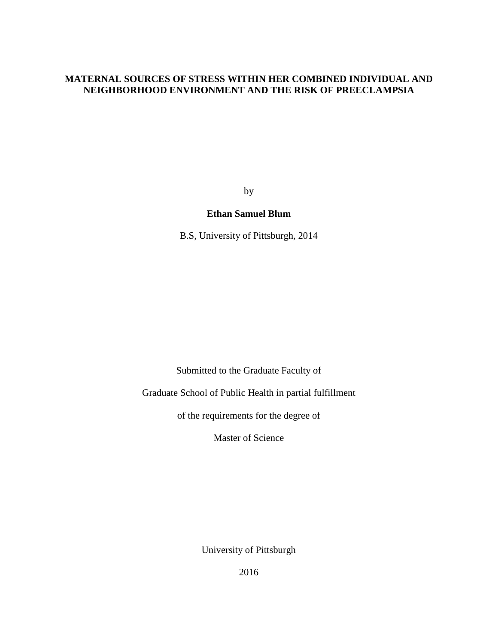## **MATERNAL SOURCES OF STRESS WITHIN HER COMBINED INDIVIDUAL AND NEIGHBORHOOD ENVIRONMENT AND THE RISK OF PREECLAMPSIA**

by

### **Ethan Samuel Blum**

B.S, University of Pittsburgh, 2014

Submitted to the Graduate Faculty of

Graduate School of Public Health in partial fulfillment

of the requirements for the degree of

Master of Science

University of Pittsburgh

2016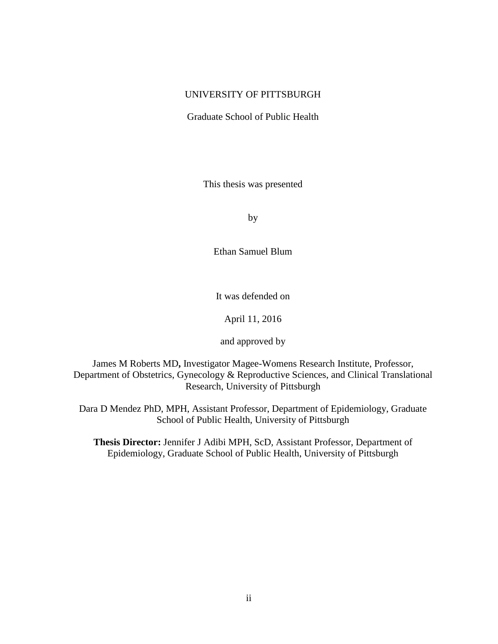### UNIVERSITY OF PITTSBURGH

Graduate School of Public Health

This thesis was presented

by

Ethan Samuel Blum

It was defended on

April 11, 2016

and approved by

James M Roberts MD**,** Investigator Magee-Womens Research Institute, Professor, Department of Obstetrics, Gynecology & Reproductive Sciences, and Clinical Translational Research, University of Pittsburgh

Dara D Mendez PhD, MPH, Assistant Professor, Department of Epidemiology, Graduate School of Public Health, University of Pittsburgh

**Thesis Director:** Jennifer J Adibi MPH, ScD*,* Assistant Professor, Department of Epidemiology, Graduate School of Public Health, University of Pittsburgh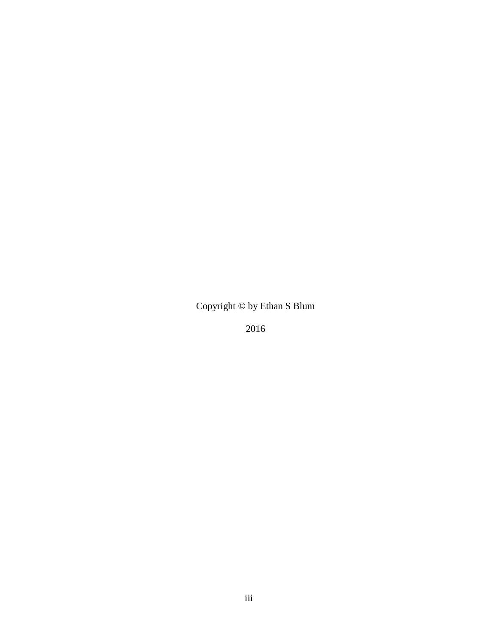Copyright © by Ethan S Blum

2016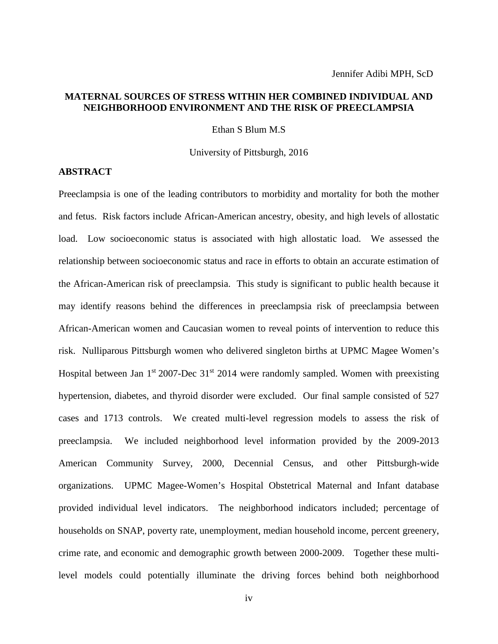## **MATERNAL SOURCES OF STRESS WITHIN HER COMBINED INDIVIDUAL AND NEIGHBORHOOD ENVIRONMENT AND THE RISK OF PREECLAMPSIA**

Ethan S Blum M.S

University of Pittsburgh, 2016

#### **ABSTRACT**

Preeclampsia is one of the leading contributors to morbidity and mortality for both the mother and fetus. Risk factors include African-American ancestry, obesity, and high levels of allostatic load. Low socioeconomic status is associated with high allostatic load. We assessed the relationship between socioeconomic status and race in efforts to obtain an accurate estimation of the African-American risk of preeclampsia. This study is significant to public health because it may identify reasons behind the differences in preeclampsia risk of preeclampsia between African-American women and Caucasian women to reveal points of intervention to reduce this risk. Nulliparous Pittsburgh women who delivered singleton births at UPMC Magee Women's Hospital between Jan  $1<sup>st</sup> 2007$ -Dec  $31<sup>st</sup> 2014$  were randomly sampled. Women with preexisting hypertension, diabetes, and thyroid disorder were excluded. Our final sample consisted of 527 cases and 1713 controls. We created multi-level regression models to assess the risk of preeclampsia. We included neighborhood level information provided by the 2009-2013 American Community Survey, 2000, Decennial Census, and other Pittsburgh-wide organizations. UPMC Magee-Women's Hospital Obstetrical Maternal and Infant database provided individual level indicators. The neighborhood indicators included; percentage of households on SNAP, poverty rate, unemployment, median household income, percent greenery, crime rate, and economic and demographic growth between 2000-2009. Together these multilevel models could potentially illuminate the driving forces behind both neighborhood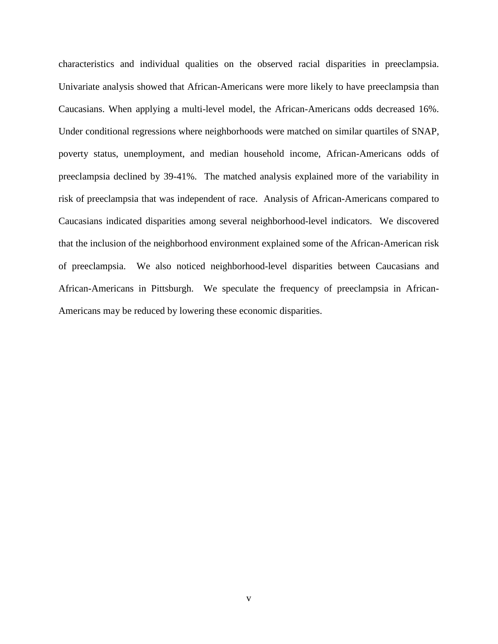characteristics and individual qualities on the observed racial disparities in preeclampsia. Univariate analysis showed that African-Americans were more likely to have preeclampsia than Caucasians. When applying a multi-level model, the African-Americans odds decreased 16%. Under conditional regressions where neighborhoods were matched on similar quartiles of SNAP, poverty status, unemployment, and median household income, African-Americans odds of preeclampsia declined by 39-41%. The matched analysis explained more of the variability in risk of preeclampsia that was independent of race. Analysis of African-Americans compared to Caucasians indicated disparities among several neighborhood-level indicators. We discovered that the inclusion of the neighborhood environment explained some of the African-American risk of preeclampsia. We also noticed neighborhood-level disparities between Caucasians and African-Americans in Pittsburgh. We speculate the frequency of preeclampsia in African-Americans may be reduced by lowering these economic disparities.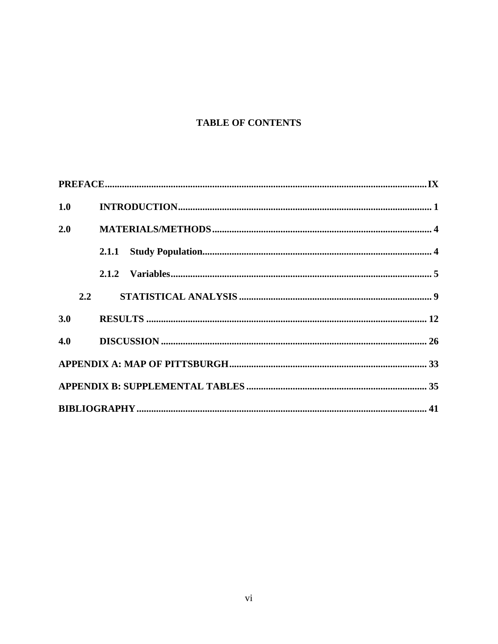# **TABLE OF CONTENTS**

| 1.0 |     |  |
|-----|-----|--|
| 2.0 |     |  |
|     |     |  |
|     |     |  |
|     | 2.2 |  |
| 3.0 |     |  |
|     |     |  |
|     |     |  |
|     |     |  |
|     |     |  |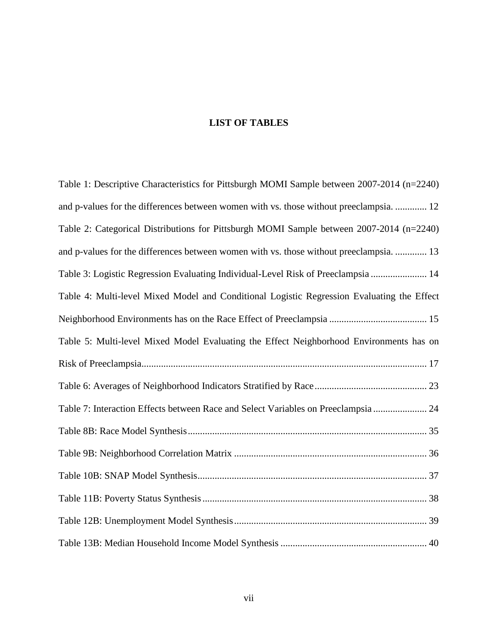# **LIST OF TABLES**

| Table 1: Descriptive Characteristics for Pittsburgh MOMI Sample between 2007-2014 (n=2240) |
|--------------------------------------------------------------------------------------------|
| and p-values for the differences between women with vs. those without preeclampsia.  12    |
| Table 2: Categorical Distributions for Pittsburgh MOMI Sample between 2007-2014 (n=2240)   |
| and p-values for the differences between women with vs. those without preeclampsia.  13    |
| Table 3: Logistic Regression Evaluating Individual-Level Risk of Preeclampsia  14          |
| Table 4: Multi-level Mixed Model and Conditional Logistic Regression Evaluating the Effect |
|                                                                                            |
| Table 5: Multi-level Mixed Model Evaluating the Effect Neighborhood Environments has on    |
|                                                                                            |
|                                                                                            |
| Table 7: Interaction Effects between Race and Select Variables on Preeclampsia 24          |
|                                                                                            |
|                                                                                            |
|                                                                                            |
|                                                                                            |
|                                                                                            |
|                                                                                            |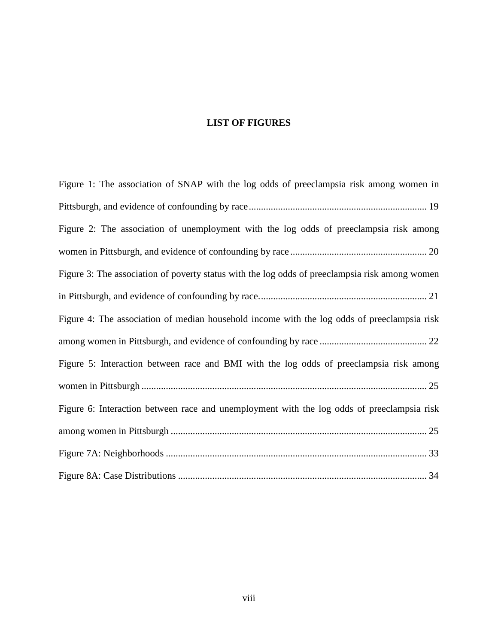# **LIST OF FIGURES**

| Figure 1: The association of SNAP with the log odds of preeclampsia risk among women in        |
|------------------------------------------------------------------------------------------------|
|                                                                                                |
| Figure 2: The association of unemployment with the log odds of preeclampsia risk among         |
|                                                                                                |
| Figure 3: The association of poverty status with the log odds of preeclampsia risk among women |
|                                                                                                |
| Figure 4: The association of median household income with the log odds of preeclampsia risk    |
|                                                                                                |
| Figure 5: Interaction between race and BMI with the log odds of preeclampsia risk among        |
|                                                                                                |
| Figure 6: Interaction between race and unemployment with the log odds of preeclampsia risk     |
|                                                                                                |
|                                                                                                |
|                                                                                                |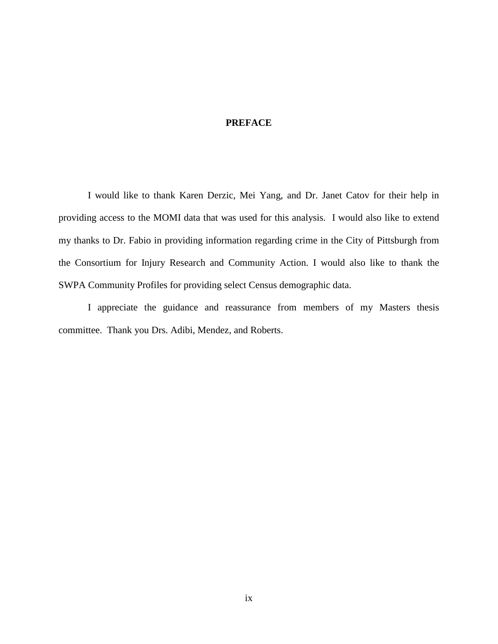## **PREFACE**

<span id="page-8-0"></span>I would like to thank Karen Derzic, Mei Yang, and Dr. Janet Catov for their help in providing access to the MOMI data that was used for this analysis. I would also like to extend my thanks to Dr. Fabio in providing information regarding crime in the City of Pittsburgh from the Consortium for Injury Research and Community Action. I would also like to thank the SWPA Community Profiles for providing select Census demographic data.

I appreciate the guidance and reassurance from members of my Masters thesis committee. Thank you Drs. Adibi, Mendez, and Roberts.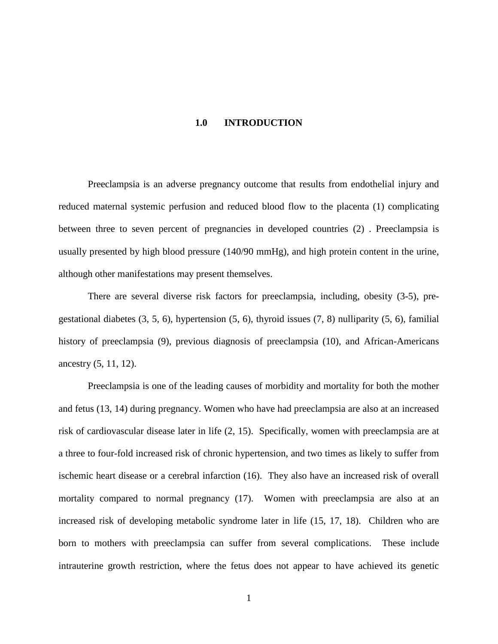#### **1.0 INTRODUCTION**

<span id="page-9-0"></span>Preeclampsia is an adverse pregnancy outcome that results from endothelial injury and reduced maternal systemic perfusion and reduced blood flow to the placenta (1) complicating between three to seven percent of pregnancies in developed countries (2) . Preeclampsia is usually presented by high blood pressure (140/90 mmHg), and high protein content in the urine, although other manifestations may present themselves.

There are several diverse risk factors for preeclampsia, including, obesity (3-5), pregestational diabetes  $(3, 5, 6)$ , hypertension  $(5, 6)$ , thyroid issues  $(7, 8)$  nulliparity  $(5, 6)$ , familial history of preeclampsia (9), previous diagnosis of preeclampsia (10), and African-Americans ancestry (5, 11, 12).

Preeclampsia is one of the leading causes of morbidity and mortality for both the mother and fetus (13, 14) during pregnancy. Women who have had preeclampsia are also at an increased risk of cardiovascular disease later in life (2, 15). Specifically, women with preeclampsia are at a three to four-fold increased risk of chronic hypertension, and two times as likely to suffer from ischemic heart disease or a cerebral infarction (16). They also have an increased risk of overall mortality compared to normal pregnancy (17). Women with preeclampsia are also at an increased risk of developing metabolic syndrome later in life (15, 17, 18). Children who are born to mothers with preeclampsia can suffer from several complications. These include intrauterine growth restriction, where the fetus does not appear to have achieved its genetic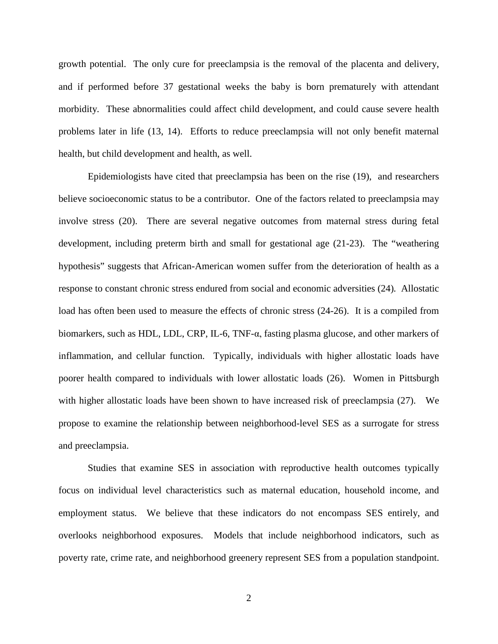growth potential. The only cure for preeclampsia is the removal of the placenta and delivery, and if performed before 37 gestational weeks the baby is born prematurely with attendant morbidity. These abnormalities could affect child development, and could cause severe health problems later in life (13, 14). Efforts to reduce preeclampsia will not only benefit maternal health, but child development and health, as well.

Epidemiologists have cited that preeclampsia has been on the rise (19), and researchers believe socioeconomic status to be a contributor. One of the factors related to preeclampsia may involve stress (20). There are several negative outcomes from maternal stress during fetal development, including preterm birth and small for gestational age (21-23). The "weathering hypothesis" suggests that African-American women suffer from the deterioration of health as a response to constant chronic stress endured from social and economic adversities (24)*.* Allostatic load has often been used to measure the effects of chronic stress (24-26). It is a compiled from biomarkers, such as HDL, LDL, CRP, IL-6, TNF-α, fasting plasma glucose, and other markers of inflammation, and cellular function. Typically, individuals with higher allostatic loads have poorer health compared to individuals with lower allostatic loads (26). Women in Pittsburgh with higher allostatic loads have been shown to have increased risk of preeclampsia (27). We propose to examine the relationship between neighborhood-level SES as a surrogate for stress and preeclampsia.

Studies that examine SES in association with reproductive health outcomes typically focus on individual level characteristics such as maternal education, household income, and employment status. We believe that these indicators do not encompass SES entirely, and overlooks neighborhood exposures. Models that include neighborhood indicators, such as poverty rate, crime rate, and neighborhood greenery represent SES from a population standpoint.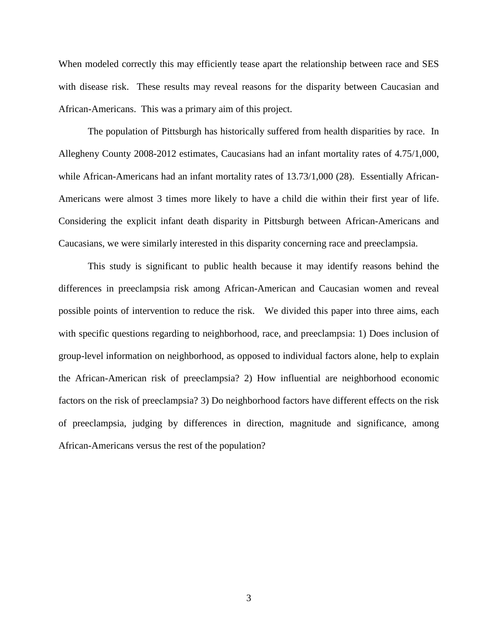When modeled correctly this may efficiently tease apart the relationship between race and SES with disease risk. These results may reveal reasons for the disparity between Caucasian and African-Americans. This was a primary aim of this project.

The population of Pittsburgh has historically suffered from health disparities by race. In Allegheny County 2008-2012 estimates, Caucasians had an infant mortality rates of 4.75/1,000, while African-Americans had an infant mortality rates of 13.73/1,000 (28). Essentially African-Americans were almost 3 times more likely to have a child die within their first year of life. Considering the explicit infant death disparity in Pittsburgh between African-Americans and Caucasians, we were similarly interested in this disparity concerning race and preeclampsia.

This study is significant to public health because it may identify reasons behind the differences in preeclampsia risk among African-American and Caucasian women and reveal possible points of intervention to reduce the risk. We divided this paper into three aims, each with specific questions regarding to neighborhood, race, and preeclampsia: 1) Does inclusion of group-level information on neighborhood, as opposed to individual factors alone, help to explain the African-American risk of preeclampsia? 2) How influential are neighborhood economic factors on the risk of preeclampsia? 3) Do neighborhood factors have different effects on the risk of preeclampsia, judging by differences in direction, magnitude and significance, among African-Americans versus the rest of the population?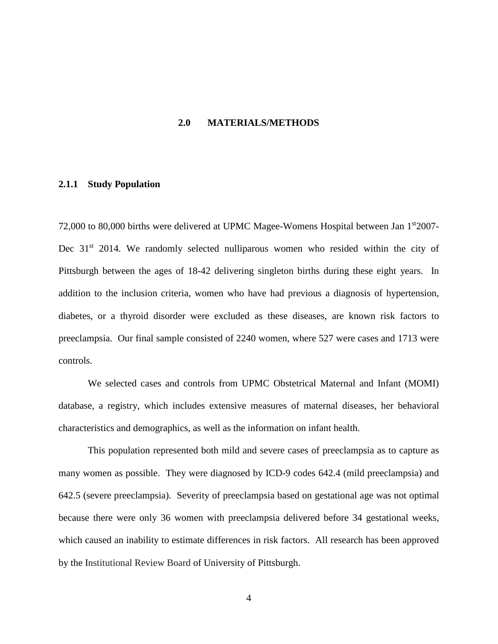#### **2.0 MATERIALS/METHODS**

#### <span id="page-12-1"></span><span id="page-12-0"></span>**2.1.1 Study Population**

72,000 to 80,000 births were delivered at UPMC Magee-Womens Hospital between Jan 1<sup>st</sup>2007-Dec  $31<sup>st</sup>$  2014. We randomly selected nulliparous women who resided within the city of Pittsburgh between the ages of 18-42 delivering singleton births during these eight years. In addition to the inclusion criteria, women who have had previous a diagnosis of hypertension, diabetes, or a thyroid disorder were excluded as these diseases, are known risk factors to preeclampsia. Our final sample consisted of 2240 women, where 527 were cases and 1713 were controls.

We selected cases and controls from UPMC Obstetrical Maternal and Infant (MOMI) database, a registry, which includes extensive measures of maternal diseases, her behavioral characteristics and demographics, as well as the information on infant health.

This population represented both mild and severe cases of preeclampsia as to capture as many women as possible. They were diagnosed by ICD-9 codes 642.4 (mild preeclampsia) and 642.5 (severe preeclampsia). Severity of preeclampsia based on gestational age was not optimal because there were only 36 women with preeclampsia delivered before 34 gestational weeks, which caused an inability to estimate differences in risk factors. All research has been approved by the Institutional Review Board of University of Pittsburgh.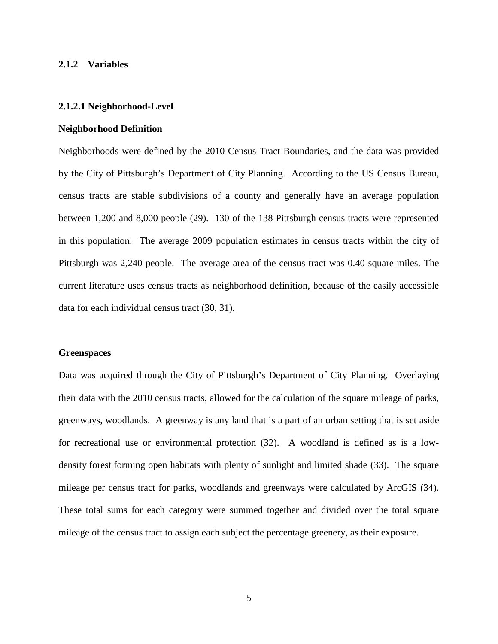#### <span id="page-13-0"></span>**2.1.2 Variables**

#### **2.1.2.1 Neighborhood-Level**

#### **Neighborhood Definition**

Neighborhoods were defined by the 2010 Census Tract Boundaries, and the data was provided by the City of Pittsburgh's Department of City Planning. According to the US Census Bureau, census tracts are stable subdivisions of a county and generally have an average population between 1,200 and 8,000 people (29). 130 of the 138 Pittsburgh census tracts were represented in this population. The average 2009 population estimates in census tracts within the city of Pittsburgh was 2,240 people. The average area of the census tract was 0.40 square miles. The current literature uses census tracts as neighborhood definition, because of the easily accessible data for each individual census tract (30, 31).

#### **Greenspaces**

Data was acquired through the City of Pittsburgh's Department of City Planning. Overlaying their data with the 2010 census tracts, allowed for the calculation of the square mileage of parks, greenways, woodlands. A greenway is any land that is a part of an urban setting that is set aside for recreational use or environmental protection (32). A woodland is defined as is a lowdensity forest forming open habitats with plenty of sunlight and limited shade (33). The square mileage per census tract for parks, woodlands and greenways were calculated by ArcGIS (34). These total sums for each category were summed together and divided over the total square mileage of the census tract to assign each subject the percentage greenery, as their exposure.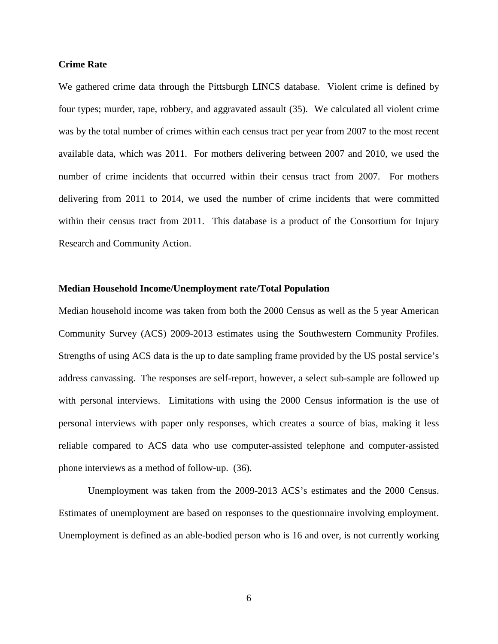#### **Crime Rate**

We gathered crime data through the Pittsburgh LINCS database. Violent crime is defined by four types; murder, rape, robbery, and aggravated assault (35). We calculated all violent crime was by the total number of crimes within each census tract per year from 2007 to the most recent available data, which was 2011. For mothers delivering between 2007 and 2010, we used the number of crime incidents that occurred within their census tract from 2007. For mothers delivering from 2011 to 2014, we used the number of crime incidents that were committed within their census tract from 2011. This database is a product of the Consortium for Injury Research and Community Action.

#### **Median Household Income/Unemployment rate/Total Population**

Median household income was taken from both the 2000 Census as well as the 5 year American Community Survey (ACS) 2009-2013 estimates using the Southwestern Community Profiles. Strengths of using ACS data is the up to date sampling frame provided by the US postal service's address canvassing. The responses are self-report, however, a select sub-sample are followed up with personal interviews. Limitations with using the 2000 Census information is the use of personal interviews with paper only responses, which creates a source of bias, making it less reliable compared to ACS data who use computer-assisted telephone and computer-assisted phone interviews as a method of follow-up. (36).

Unemployment was taken from the 2009-2013 ACS's estimates and the 2000 Census. Estimates of unemployment are based on responses to the questionnaire involving employment. Unemployment is defined as an able-bodied person who is 16 and over, is not currently working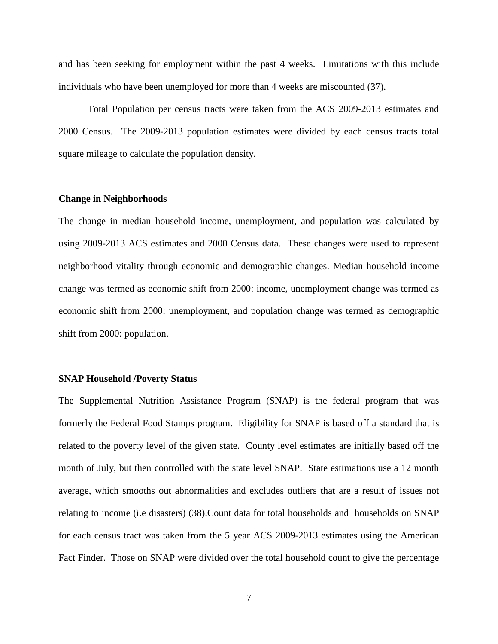and has been seeking for employment within the past 4 weeks. Limitations with this include individuals who have been unemployed for more than 4 weeks are miscounted (37).

Total Population per census tracts were taken from the ACS 2009-2013 estimates and 2000 Census. The 2009-2013 population estimates were divided by each census tracts total square mileage to calculate the population density.

#### **Change in Neighborhoods**

The change in median household income, unemployment, and population was calculated by using 2009-2013 ACS estimates and 2000 Census data. These changes were used to represent neighborhood vitality through economic and demographic changes. Median household income change was termed as economic shift from 2000: income, unemployment change was termed as economic shift from 2000: unemployment, and population change was termed as demographic shift from 2000: population.

#### **SNAP Household /Poverty Status**

The Supplemental Nutrition Assistance Program (SNAP) is the federal program that was formerly the Federal Food Stamps program. Eligibility for SNAP is based off a standard that is related to the poverty level of the given state. County level estimates are initially based off the month of July, but then controlled with the state level SNAP. State estimations use a 12 month average, which smooths out abnormalities and excludes outliers that are a result of issues not relating to income (i.e disasters) (38).Count data for total households and households on SNAP for each census tract was taken from the 5 year ACS 2009-2013 estimates using the American Fact Finder. Those on SNAP were divided over the total household count to give the percentage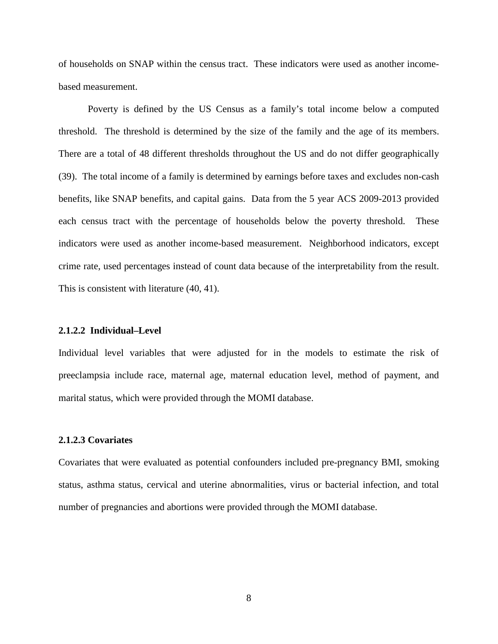of households on SNAP within the census tract. These indicators were used as another incomebased measurement.

Poverty is defined by the US Census as a family's total income below a computed threshold. The threshold is determined by the size of the family and the age of its members. There are a total of 48 different thresholds throughout the US and do not differ geographically (39). The total income of a family is determined by earnings before taxes and excludes non-cash benefits, like SNAP benefits, and capital gains.Data from the 5 year ACS 2009-2013 provided each census tract with the percentage of households below the poverty threshold. These indicators were used as another income-based measurement. Neighborhood indicators, except crime rate, used percentages instead of count data because of the interpretability from the result. This is consistent with literature (40, 41).

### **2.1.2.2 Individual–Level**

Individual level variables that were adjusted for in the models to estimate the risk of preeclampsia include race, maternal age, maternal education level, method of payment, and marital status, which were provided through the MOMI database.

#### **2.1.2.3 Covariates**

Covariates that were evaluated as potential confounders included pre-pregnancy BMI, smoking status, asthma status, cervical and uterine abnormalities, virus or bacterial infection, and total number of pregnancies and abortions were provided through the MOMI database.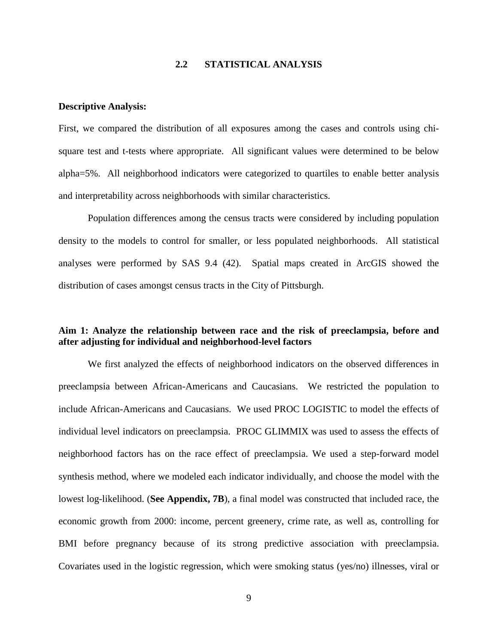### **2.2 STATISTICAL ANALYSIS**

#### <span id="page-17-0"></span>**Descriptive Analysis:**

First, we compared the distribution of all exposures among the cases and controls using chisquare test and t-tests where appropriate. All significant values were determined to be below alpha=5%. All neighborhood indicators were categorized to quartiles to enable better analysis and interpretability across neighborhoods with similar characteristics.

Population differences among the census tracts were considered by including population density to the models to control for smaller, or less populated neighborhoods. All statistical analyses were performed by SAS 9.4 (42). Spatial maps created in ArcGIS showed the distribution of cases amongst census tracts in the City of Pittsburgh.

## **Aim 1: Analyze the relationship between race and the risk of preeclampsia, before and after adjusting for individual and neighborhood-level factors**

We first analyzed the effects of neighborhood indicators on the observed differences in preeclampsia between African-Americans and Caucasians. We restricted the population to include African-Americans and Caucasians. We used PROC LOGISTIC to model the effects of individual level indicators on preeclampsia. PROC GLIMMIX was used to assess the effects of neighborhood factors has on the race effect of preeclampsia. We used a step-forward model synthesis method, where we modeled each indicator individually, and choose the model with the lowest log-likelihood. (**See Appendix, 7B**), a final model was constructed that included race, the economic growth from 2000: income, percent greenery, crime rate, as well as, controlling for BMI before pregnancy because of its strong predictive association with preeclampsia. Covariates used in the logistic regression, which were smoking status (yes/no) illnesses, viral or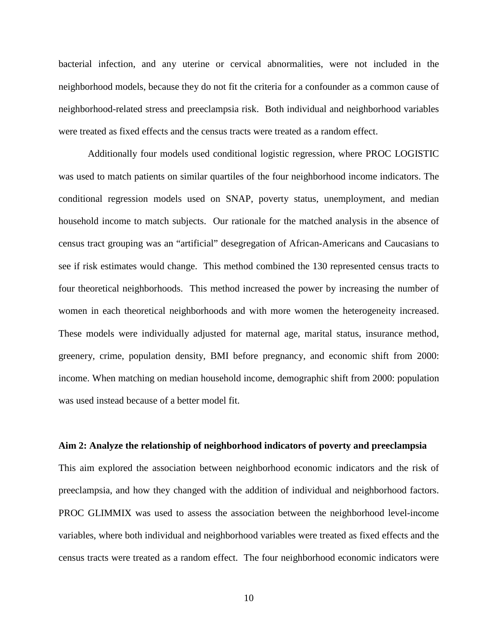bacterial infection, and any uterine or cervical abnormalities, were not included in the neighborhood models, because they do not fit the criteria for a confounder as a common cause of neighborhood-related stress and preeclampsia risk. Both individual and neighborhood variables were treated as fixed effects and the census tracts were treated as a random effect.

Additionally four models used conditional logistic regression, where PROC LOGISTIC was used to match patients on similar quartiles of the four neighborhood income indicators. The conditional regression models used on SNAP, poverty status, unemployment, and median household income to match subjects. Our rationale for the matched analysis in the absence of census tract grouping was an "artificial" desegregation of African-Americans and Caucasians to see if risk estimates would change. This method combined the 130 represented census tracts to four theoretical neighborhoods. This method increased the power by increasing the number of women in each theoretical neighborhoods and with more women the heterogeneity increased. These models were individually adjusted for maternal age, marital status, insurance method, greenery, crime, population density, BMI before pregnancy, and economic shift from 2000: income. When matching on median household income, demographic shift from 2000: population was used instead because of a better model fit.

#### **Aim 2: Analyze the relationship of neighborhood indicators of poverty and preeclampsia**

This aim explored the association between neighborhood economic indicators and the risk of preeclampsia, and how they changed with the addition of individual and neighborhood factors. PROC GLIMMIX was used to assess the association between the neighborhood level-income variables, where both individual and neighborhood variables were treated as fixed effects and the census tracts were treated as a random effect. The four neighborhood economic indicators were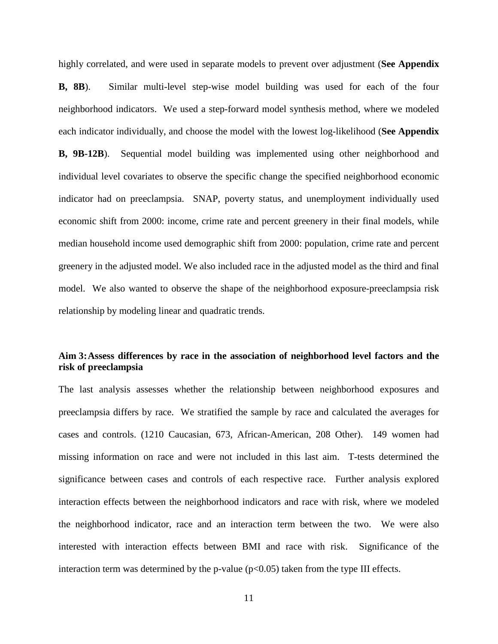highly correlated, and were used in separate models to prevent over adjustment (**See Appendix B, 8B**). Similar multi-level step-wise model building was used for each of the four neighborhood indicators. We used a step-forward model synthesis method, where we modeled each indicator individually, and choose the model with the lowest log-likelihood (**See Appendix B, 9B-12B**). Sequential model building was implemented using other neighborhood and individual level covariates to observe the specific change the specified neighborhood economic indicator had on preeclampsia. SNAP, poverty status, and unemployment individually used economic shift from 2000: income, crime rate and percent greenery in their final models, while median household income used demographic shift from 2000: population, crime rate and percent greenery in the adjusted model. We also included race in the adjusted model as the third and final model. We also wanted to observe the shape of the neighborhood exposure-preeclampsia risk relationship by modeling linear and quadratic trends.

## **Aim 3:Assess differences by race in the association of neighborhood level factors and the risk of preeclampsia**

The last analysis assesses whether the relationship between neighborhood exposures and preeclampsia differs by race. We stratified the sample by race and calculated the averages for cases and controls. (1210 Caucasian, 673, African-American, 208 Other). 149 women had missing information on race and were not included in this last aim. T-tests determined the significance between cases and controls of each respective race. Further analysis explored interaction effects between the neighborhood indicators and race with risk, where we modeled the neighborhood indicator, race and an interaction term between the two. We were also interested with interaction effects between BMI and race with risk. Significance of the interaction term was determined by the p-value  $(p<0.05)$  taken from the type III effects.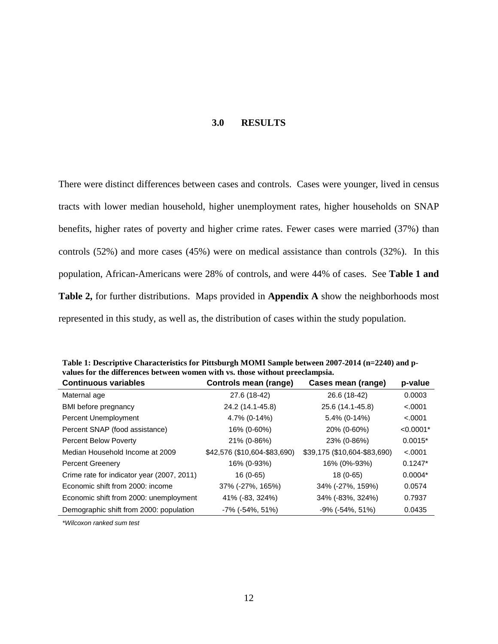#### **3.0 RESULTS**

<span id="page-20-0"></span>There were distinct differences between cases and controls. Cases were younger, lived in census tracts with lower median household, higher unemployment rates, higher households on SNAP benefits, higher rates of poverty and higher crime rates. Fewer cases were married (37%) than controls (52%) and more cases (45%) were on medical assistance than controls (32%). In this population, African-Americans were 28% of controls, and were 44% of cases. See **Table 1 and Table 2,** for further distributions. Maps provided in **Appendix A** show the neighborhoods most represented in this study, as well as, the distribution of cases within the study population.

| values for the differences between women with vs. those without preeclampsia. |                              |                              |             |  |  |  |  |  |
|-------------------------------------------------------------------------------|------------------------------|------------------------------|-------------|--|--|--|--|--|
| <b>Continuous variables</b>                                                   | Controls mean (range)        | Cases mean (range)           | p-value     |  |  |  |  |  |
| Maternal age                                                                  | 27.6 (18-42)                 | 26.6 (18-42)                 | 0.0003      |  |  |  |  |  |
| BMI before pregnancy                                                          | 24.2 (14.1-45.8)             | 25.6 (14.1-45.8)             | < .0001     |  |  |  |  |  |
| Percent Unemployment                                                          | 4.7% (0-14%)                 | $5.4\%$ (0-14%)              | < .0001     |  |  |  |  |  |
| Percent SNAP (food assistance)                                                | 16% (0-60%)                  | 20% (0-60%)                  | $< 0.0001*$ |  |  |  |  |  |
| <b>Percent Below Poverty</b>                                                  | 21% (0-86%)                  | 23% (0-86%)                  | $0.0015*$   |  |  |  |  |  |
| Median Household Income at 2009                                               | \$42,576 (\$10,604-\$83,690) | \$39,175 (\$10,604-\$83,690) | < .0001     |  |  |  |  |  |
| <b>Percent Greenery</b>                                                       | 16% (0-93%)                  | 16% (0%-93%)                 | $0.1247*$   |  |  |  |  |  |
| Crime rate for indicator year (2007, 2011)                                    | 16 (0-65)                    | $18(0-65)$                   | $0.0004*$   |  |  |  |  |  |
| Economic shift from 2000: income                                              | 37% (-27%, 165%)             | 34% (-27%, 159%)             | 0.0574      |  |  |  |  |  |
| Economic shift from 2000: unemployment                                        | 41% (-83, 324%)              | 34% (-83%, 324%)             | 0.7937      |  |  |  |  |  |
| Demographic shift from 2000: population                                       | $-7\%$ ( $-54\%$ , 51%)      | $-9\%$ ( $-54\%$ , 51%)      | 0.0435      |  |  |  |  |  |

<span id="page-20-1"></span>**Table 1: Descriptive Characteristics for Pittsburgh MOMI Sample between 2007-2014 (n=2240) and pvalues for the differences between women with vs. those without preeclampsia.**

*\*Wilcoxon ranked sum test*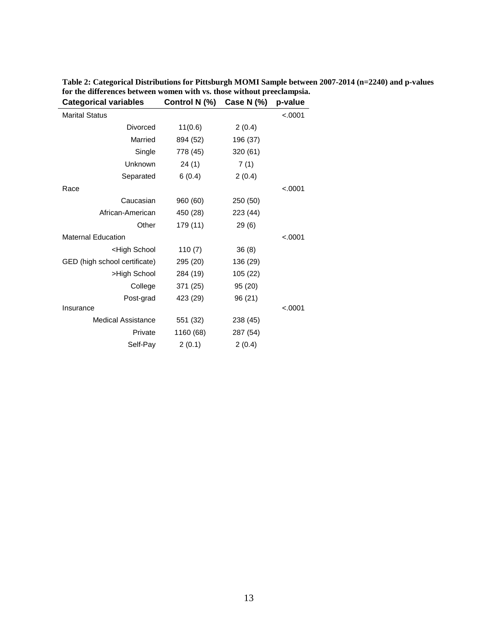| <b>Categorical variables</b>                                         | Control N (%) | Case N (%) | p-value  |
|----------------------------------------------------------------------|---------------|------------|----------|
| <b>Marital Status</b>                                                |               |            | < .0001  |
| Divorced                                                             | 11(0.6)       | 2(0.4)     |          |
| Married                                                              | 894 (52)      | 196 (37)   |          |
| Single                                                               | 778 (45)      | 320 (61)   |          |
| Unknown                                                              | 24(1)         | 7(1)       |          |
| Separated                                                            | 6(0.4)        | 2(0.4)     |          |
| Race                                                                 |               |            | < .0001  |
| Caucasian                                                            | 960 (60)      | 250 (50)   |          |
| African-American                                                     | 450 (28)      | 223 (44)   |          |
| Other                                                                | 179 (11)      | 29(6)      |          |
| <b>Maternal Education</b>                                            |               |            | < 0.0001 |
| <high school<="" td=""><td>110(7)</td><td>36(8)</td><td></td></high> | 110(7)        | 36(8)      |          |
| GED (high school certificate)                                        | 295 (20)      | 136 (29)   |          |
| >High School                                                         | 284 (19)      | 105 (22)   |          |
| College                                                              | 371 (25)      | 95 (20)    |          |
| Post-grad                                                            | 423 (29)      | 96 (21)    |          |
| Insurance                                                            |               |            | < 0.0001 |
| Medical Assistance                                                   | 551 (32)      | 238 (45)   |          |
| Private                                                              | 1160 (68)     | 287 (54)   |          |
| Self-Pay                                                             | 2(0.1)        | 2(0.4)     |          |
|                                                                      |               |            |          |

<span id="page-21-0"></span>**Table 2: Categorical Distributions for Pittsburgh MOMI Sample between 2007-2014 (n=2240) and p-values for the differences between women with vs. those without preeclampsia.**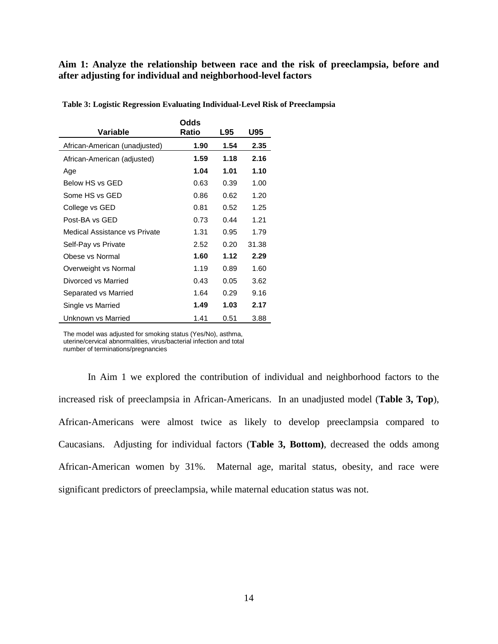### **Aim 1: Analyze the relationship between race and the risk of preeclampsia, before and after adjusting for individual and neighborhood-level factors**

|                               | Odds  |      |       |
|-------------------------------|-------|------|-------|
| Variable                      | Ratio | L95  | U95   |
| African-American (unadjusted) | 1.90  | 1.54 | 2.35  |
| African-American (adjusted)   | 1.59  | 1.18 | 2.16  |
| Age                           | 1.04  | 1.01 | 1.10  |
| Below HS vs GED               | 0.63  | 0.39 | 1.00  |
| Some HS vs GED                | 0.86  | 0.62 | 1.20  |
| College vs GED                | 0.81  | 0.52 | 1.25  |
| Post-BA vs GED                | 0.73  | 0.44 | 1.21  |
| Medical Assistance vs Private | 1.31  | 0.95 | 1.79  |
| Self-Pay vs Private           | 2.52  | 0.20 | 31.38 |
| Obese vs Normal               | 1.60  | 1.12 | 2.29  |
| Overweight vs Normal          | 1.19  | 0.89 | 1.60  |
| Divorced vs Married           | 0.43  | 0.05 | 3.62  |
| Separated vs Married          | 1.64  | 0.29 | 9.16  |
| Single vs Married             | 1.49  | 1.03 | 2.17  |
| Unknown vs Married            | 1.41  | 0.51 | 3.88  |

<span id="page-22-0"></span>**Table 3: Logistic Regression Evaluating Individual-Level Risk of Preeclampsia**

The model was adjusted for smoking status (Yes/No), asthma, uterine/cervical abnormalities, virus/bacterial infection and total

number of terminations/pregnancies

In Aim 1 we explored the contribution of individual and neighborhood factors to the increased risk of preeclampsia in African-Americans. In an unadjusted model (**Table 3, Top**), African-Americans were almost twice as likely to develop preeclampsia compared to Caucasians. Adjusting for individual factors (**Table 3, Bottom)**, decreased the odds among African-American women by 31%. Maternal age, marital status, obesity, and race were significant predictors of preeclampsia, while maternal education status was not.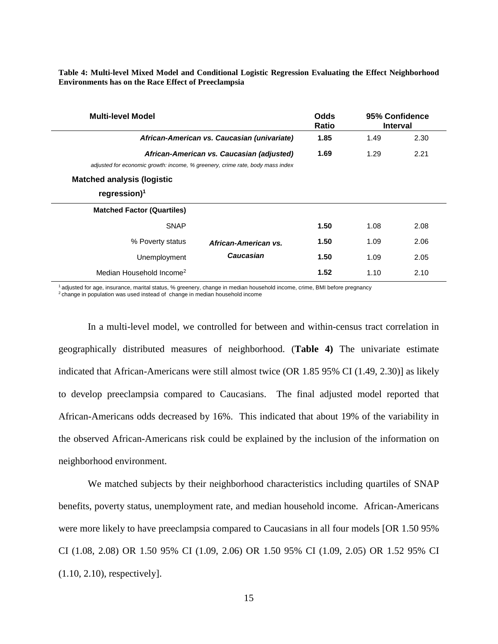<span id="page-23-0"></span>**Table 4: Multi-level Mixed Model and Conditional Logistic Regression Evaluating the Effect Neighborhood Environments has on the Race Effect of Preeclampsia**

| <b>Multi-level Model</b>                                                      |                                             | Odds<br>Ratio | 95% Confidence<br><b>Interval</b> |      |
|-------------------------------------------------------------------------------|---------------------------------------------|---------------|-----------------------------------|------|
|                                                                               | African-American vs. Caucasian (univariate) | 1.85          | 1.49                              | 2.30 |
|                                                                               | African-American vs. Caucasian (adjusted)   | 1.69          | 1.29                              | 2.21 |
| adjusted for economic growth: income, % greenery, crime rate, body mass index |                                             |               |                                   |      |
| <b>Matched analysis (logistic</b>                                             |                                             |               |                                   |      |
| regression $)^1$                                                              |                                             |               |                                   |      |
| <b>Matched Factor (Quartiles)</b>                                             |                                             |               |                                   |      |
| <b>SNAP</b>                                                                   |                                             | 1.50          | 1.08                              | 2.08 |
| % Poverty status                                                              | African-American vs.                        | 1.50          | 1.09                              | 2.06 |
| Unemployment                                                                  | Caucasian                                   | 1.50          | 1.09                              | 2.05 |
| Median Household Income <sup>2</sup>                                          |                                             | 1.52          | 1.10                              | 2.10 |

<sup>1</sup>adjusted for age, insurance, marital status, % greenery, change in median household income, crime, BMI before pregnancy  $2$ change in population was used instead of change in median household income

In a multi-level model, we controlled for between and within-census tract correlation in geographically distributed measures of neighborhood. (**Table 4)** The univariate estimate indicated that African-Americans were still almost twice (OR 1.85 95% CI (1.49, 2.30)] as likely to develop preeclampsia compared to Caucasians. The final adjusted model reported that African-Americans odds decreased by 16%. This indicated that about 19% of the variability in the observed African-Americans risk could be explained by the inclusion of the information on neighborhood environment.

We matched subjects by their neighborhood characteristics including quartiles of SNAP benefits, poverty status, unemployment rate, and median household income. African-Americans were more likely to have preeclampsia compared to Caucasians in all four models [OR 1.50 95% CI (1.08, 2.08) OR 1.50 95% CI (1.09, 2.06) OR 1.50 95% CI (1.09, 2.05) OR 1.52 95% CI (1.10, 2.10), respectively].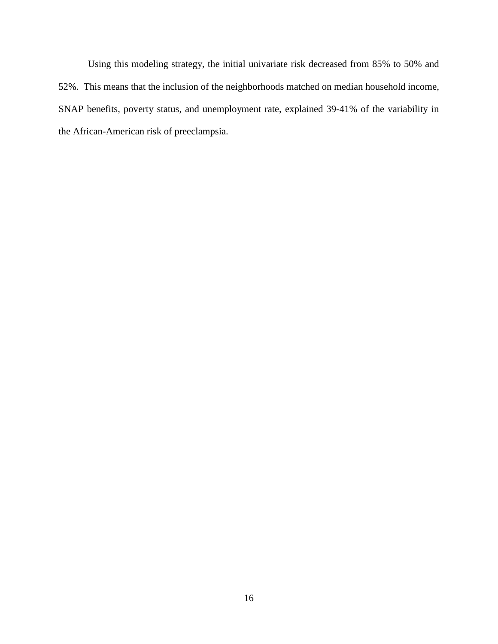Using this modeling strategy, the initial univariate risk decreased from 85% to 50% and 52%. This means that the inclusion of the neighborhoods matched on median household income, SNAP benefits, poverty status, and unemployment rate, explained 39-41% of the variability in the African-American risk of preeclampsia.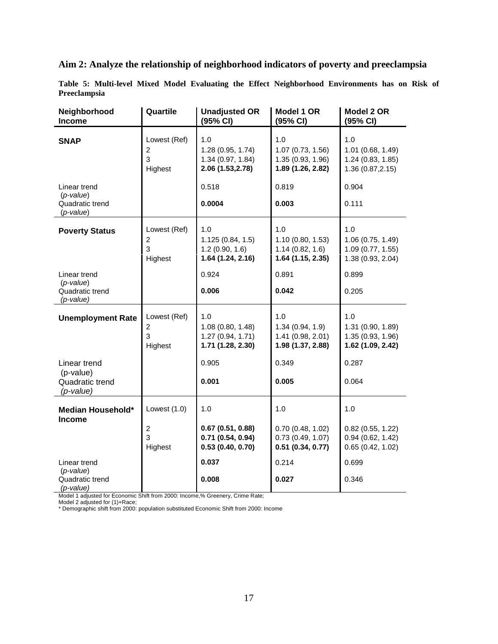## **Aim 2: Analyze the relationship of neighborhood indicators of poverty and preeclampsia**

<span id="page-25-0"></span>**Table 5: Multi-level Mixed Model Evaluating the Effect Neighborhood Environments has on Risk of Preeclampsia**

| Neighborhood<br><b>Income</b>                                 | Quartile                                       | <b>Unadjusted OR</b><br>(95% CI)                                   | Model 1 OR<br>(95% CI)                                             | Model 2 OR<br>(95% CI)                                             |
|---------------------------------------------------------------|------------------------------------------------|--------------------------------------------------------------------|--------------------------------------------------------------------|--------------------------------------------------------------------|
| <b>SNAP</b>                                                   | Lowest (Ref)<br>$\overline{2}$<br>3<br>Highest | 1.0<br>1.28 (0.95, 1.74)<br>1.34 (0.97, 1.84)<br>2.06 (1.53, 2.78) | 1.0<br>1.07 (0.73, 1.56)<br>1.35 (0.93, 1.96)<br>1.89 (1.26, 2.82) | 1.0<br>1.01 (0.68, 1.49)<br>1.24 (0.83, 1.85)<br>1.36 (0.87, 2.15) |
| Linear trend<br>$(p-value)$<br>Quadratic trend<br>$(p-value)$ |                                                | 0.518<br>0.0004                                                    | 0.819<br>0.003                                                     | 0.904<br>0.111                                                     |
| <b>Poverty Status</b>                                         | Lowest (Ref)<br>$\overline{c}$<br>3<br>Highest | 1.0<br>1.125(0.84, 1.5)<br>1.2(0.90, 1.6)<br>1.64 (1.24, 2.16)     | 1.0<br>1.10 (0.80, 1.53)<br>1.14(0.82, 1.6)<br>1.64 (1.15, 2.35)   | 1.0<br>1.06 (0.75. 1.49)<br>1.09 (0.77, 1.55)<br>1.38 (0.93, 2.04) |
| Linear trend<br>$(p-value)$<br>Quadratic trend<br>(p-value)   |                                                | 0.924<br>0.006                                                     | 0.891<br>0.042                                                     | 0.899<br>0.205                                                     |
| <b>Unemployment Rate</b>                                      | Lowest (Ref)<br>$\overline{c}$<br>3<br>Highest | 1.0<br>1.08 (0.80, 1.48)<br>1.27 (0.94, 1.71)<br>1.71 (1.28, 2.30) | 1.0<br>1.34(0.94, 1.9)<br>1.41 (0.98, 2.01)<br>1.98 (1.37, 2.88)   | 1.0<br>1.31 (0.90, 1.89)<br>1.35 (0.93, 1.96)<br>1.62 (1.09, 2.42) |
| Linear trend<br>(p-value)<br>Quadratic trend<br>$(p$ -value)  |                                                | 0.905<br>0.001                                                     | 0.349<br>0.005                                                     | 0.287<br>0.064                                                     |
| Median Household*<br><b>Income</b>                            | Lowest $(1.0)$                                 | 1.0                                                                | 1.0                                                                | 1.0                                                                |
|                                                               | $\overline{c}$<br>3<br>Highest                 | 0.67(0.51, 0.88)<br>0.71(0.54, 0.94)<br>0.53(0.40, 0.70)           | 0.70(0.48, 1.02)<br>0.73(0.49, 1.07)<br>0.51(0.34, 0.77)           | $0.82$ (0.55, 1.22)<br>0.94(0.62, 1.42)<br>0.65(0.42, 1.02)        |
| Linear trend                                                  |                                                | 0.037                                                              | 0.214                                                              | 0.699                                                              |
| $(p-value)$<br>Quadratic trend<br>(p-value)                   |                                                | 0.008                                                              | 0.027                                                              | 0.346                                                              |

Model 1 adjusted for Economic Shift from 2000: Income,% Greenery, Crime Rate;

Model 2 adjusted for (1)+Race;

\* Demographic shift from 2000: population substituted Economic Shift from 2000: Income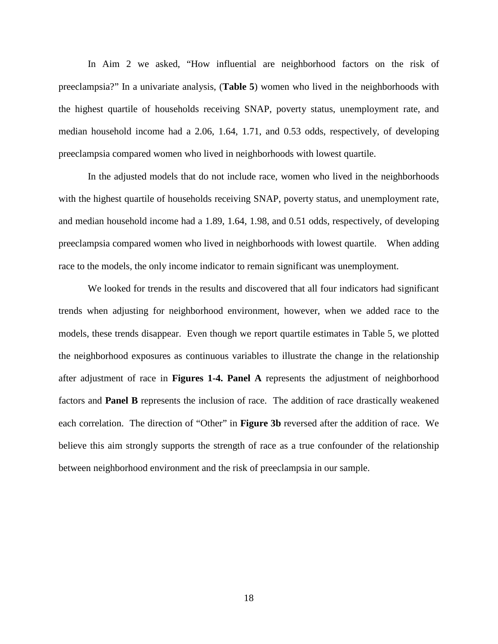In Aim 2 we asked, "How influential are neighborhood factors on the risk of preeclampsia?" In a univariate analysis, (**Table 5**) women who lived in the neighborhoods with the highest quartile of households receiving SNAP, poverty status, unemployment rate, and median household income had a 2.06, 1.64, 1.71, and 0.53 odds, respectively, of developing preeclampsia compared women who lived in neighborhoods with lowest quartile.

In the adjusted models that do not include race, women who lived in the neighborhoods with the highest quartile of households receiving SNAP, poverty status, and unemployment rate, and median household income had a 1.89, 1.64, 1.98, and 0.51 odds, respectively, of developing preeclampsia compared women who lived in neighborhoods with lowest quartile. When adding race to the models, the only income indicator to remain significant was unemployment.

We looked for trends in the results and discovered that all four indicators had significant trends when adjusting for neighborhood environment, however, when we added race to the models, these trends disappear. Even though we report quartile estimates in Table 5, we plotted the neighborhood exposures as continuous variables to illustrate the change in the relationship after adjustment of race in **Figures 1-4. Panel A** represents the adjustment of neighborhood factors and **Panel B** represents the inclusion of race. The addition of race drastically weakened each correlation. The direction of "Other" in **Figure 3b** reversed after the addition of race. We believe this aim strongly supports the strength of race as a true confounder of the relationship between neighborhood environment and the risk of preeclampsia in our sample.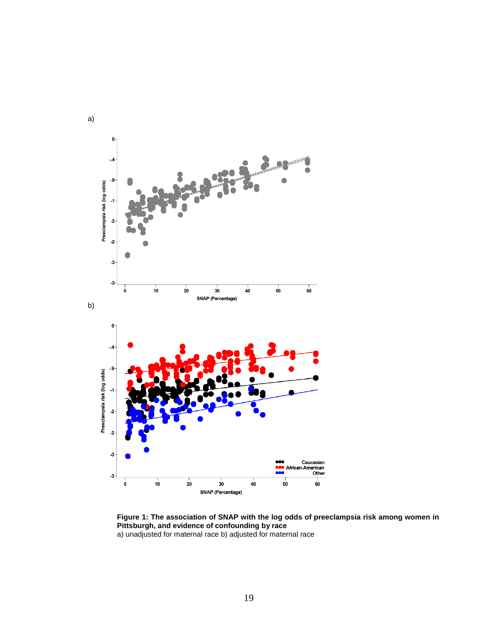

<span id="page-27-0"></span>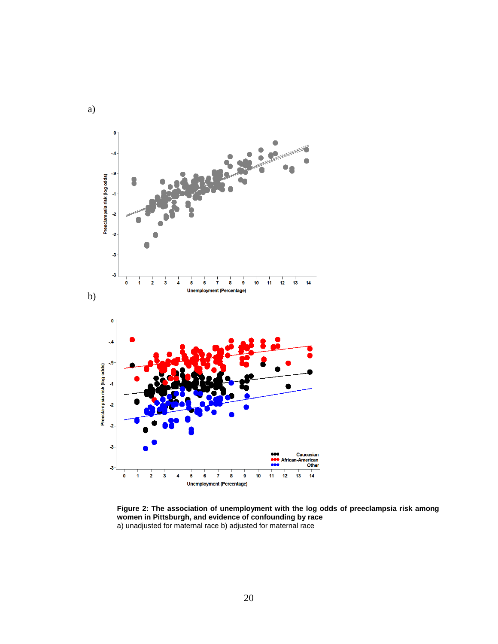

<span id="page-28-0"></span>**Figure 2: The association of unemployment with the log odds of preeclampsia risk among women in Pittsburgh, and evidence of confounding by race** a) unadjusted for maternal race b) adjusted for maternal race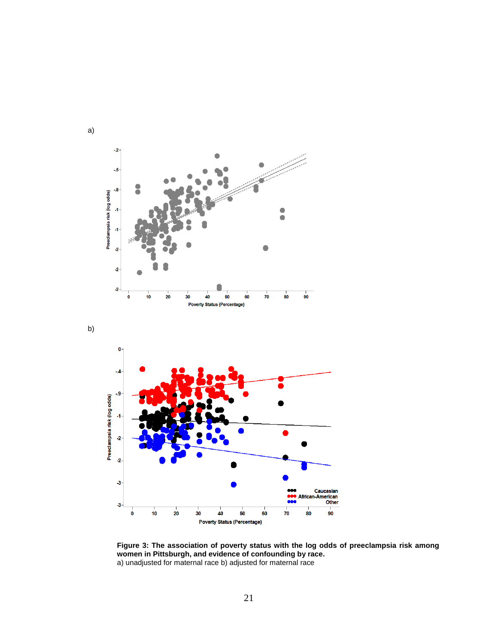





<span id="page-29-0"></span>**Figure 3: The association of poverty status with the log odds of preeclampsia risk among women in Pittsburgh, and evidence of confounding by race.**  a) unadjusted for maternal race b) adjusted for maternal race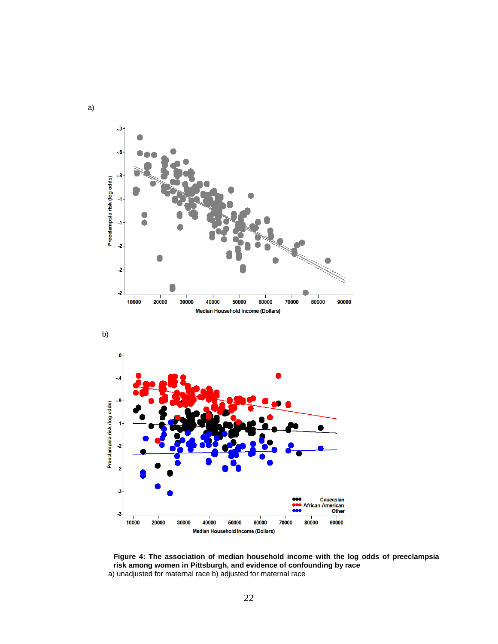

<span id="page-30-0"></span>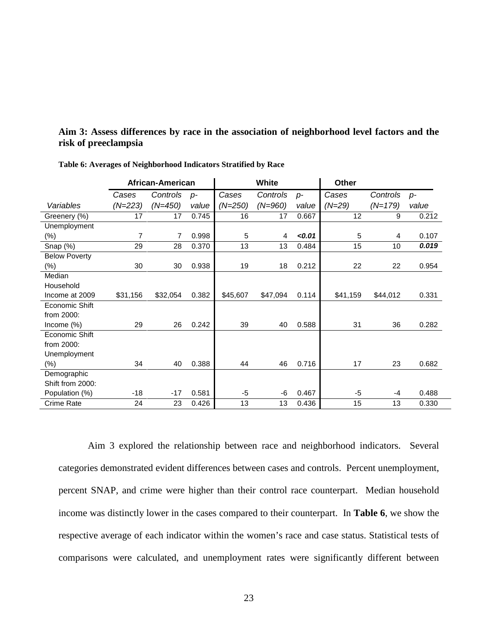### **Aim 3: Assess differences by race in the association of neighborhood level factors and the risk of preeclampsia**

|                      |           | African-American |       | <b>White</b> |           |       | <b>Other</b> |           |       |
|----------------------|-----------|------------------|-------|--------------|-----------|-------|--------------|-----------|-------|
|                      | Cases     | Controls         | $p-$  | Cases        | Controls  | $p-$  | Cases        | Controls  | $p-$  |
| Variables            | $(N=223)$ | $(N=450)$        | value | $(N=250)$    | $(N=960)$ | value | $(N=29)$     | $(N=179)$ | value |
| Greenery (%)         | 17        | 17               | 0.745 | 16           | 17        | 0.667 | 12           | 9         | 0.212 |
| Unemployment         |           |                  |       |              |           |       |              |           |       |
| $(\%)$               | 7         | 7                | 0.998 | 5            | 4         | 0.01  | 5            | 4         | 0.107 |
| Snap (%)             | 29        | 28               | 0.370 | 13           | 13        | 0.484 | 15           | 10        | 0.019 |
| <b>Below Poverty</b> |           |                  |       |              |           |       |              |           |       |
| (%)                  | 30        | 30               | 0.938 | 19           | 18        | 0.212 | 22           | 22        | 0.954 |
| Median               |           |                  |       |              |           |       |              |           |       |
| Household            |           |                  |       |              |           |       |              |           |       |
| Income at 2009       | \$31,156  | \$32,054         | 0.382 | \$45,607     | \$47,094  | 0.114 | \$41,159     | \$44,012  | 0.331 |
| Economic Shift       |           |                  |       |              |           |       |              |           |       |
| from 2000:           |           |                  |       |              |           |       |              |           |       |
| Income $(\%)$        | 29        | 26               | 0.242 | 39           | 40        | 0.588 | 31           | 36        | 0.282 |
| Economic Shift       |           |                  |       |              |           |       |              |           |       |
| from 2000:           |           |                  |       |              |           |       |              |           |       |
| Unemployment         |           |                  |       |              |           |       |              |           |       |
| $(\%)$               | 34        | 40               | 0.388 | 44           | 46        | 0.716 | 17           | 23        | 0.682 |
| Demographic          |           |                  |       |              |           |       |              |           |       |
| Shift from 2000:     |           |                  |       |              |           |       |              |           |       |
| Population (%)       | $-18$     | $-17$            | 0.581 | -5           | -6        | 0.467 | $-5$         | $-4$      | 0.488 |
| Crime Rate           | 24        | 23               | 0.426 | 13           | 13        | 0.436 | 15           | 13        | 0.330 |

<span id="page-31-0"></span>**Table 6: Averages of Neighborhood Indicators Stratified by Race**

Aim 3 explored the relationship between race and neighborhood indicators. Several categories demonstrated evident differences between cases and controls. Percent unemployment, percent SNAP, and crime were higher than their control race counterpart. Median household income was distinctly lower in the cases compared to their counterpart. In **Table 6**, we show the respective average of each indicator within the women's race and case status. Statistical tests of comparisons were calculated, and unemployment rates were significantly different between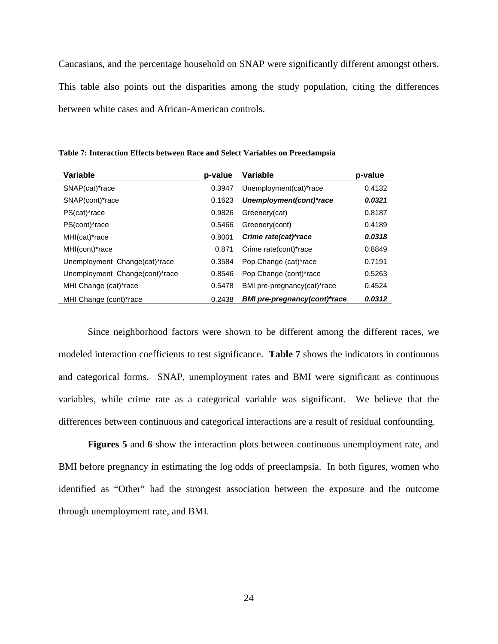Caucasians, and the percentage household on SNAP were significantly different amongst others. This table also points out the disparities among the study population, citing the differences between white cases and African-American controls.

| Variable                       | p-value | Variable                            | p-value |
|--------------------------------|---------|-------------------------------------|---------|
| SNAP(cat)*race                 | 0.3947  | Unemployment(cat)*race              | 0.4132  |
| SNAP(cont)*race                | 0.1623  | Unemployment(cont)*race             | 0.0321  |
| PS(cat)*race                   | 0.9826  | Greenery(cat)                       | 0.8187  |
| PS(cont)*race                  | 0.5466  | Greenery(cont)                      | 0.4189  |
| MHI(cat)*race                  | 0.8001  | Crime rate(cat)*race                | 0.0318  |
| MHI(cont)*race                 | 0.871   | Crime rate(cont)*race               | 0.8849  |
| Unemployment Change(cat)*race  | 0.3584  | Pop Change (cat)*race               | 0.7191  |
| Unemployment Change(cont)*race | 0.8546  | Pop Change (cont)*race              | 0.5263  |
| MHI Change (cat)*race          | 0.5478  | BMI pre-pregnancy(cat)*race         | 0.4524  |
| MHI Change (cont)*race         | 0.2438  | <b>BMI</b> pre-pregnancy(cont)*race | 0.0312  |

<span id="page-32-0"></span>**Table 7: Interaction Effects between Race and Select Variables on Preeclampsia**

Since neighborhood factors were shown to be different among the different races, we modeled interaction coefficients to test significance. **Table 7** shows the indicators in continuous and categorical forms. SNAP, unemployment rates and BMI were significant as continuous variables, while crime rate as a categorical variable was significant. We believe that the differences between continuous and categorical interactions are a result of residual confounding.

**Figures 5** and **6** show the interaction plots between continuous unemployment rate, and BMI before pregnancy in estimating the log odds of preeclampsia. In both figures, women who identified as "Other" had the strongest association between the exposure and the outcome through unemployment rate, and BMI.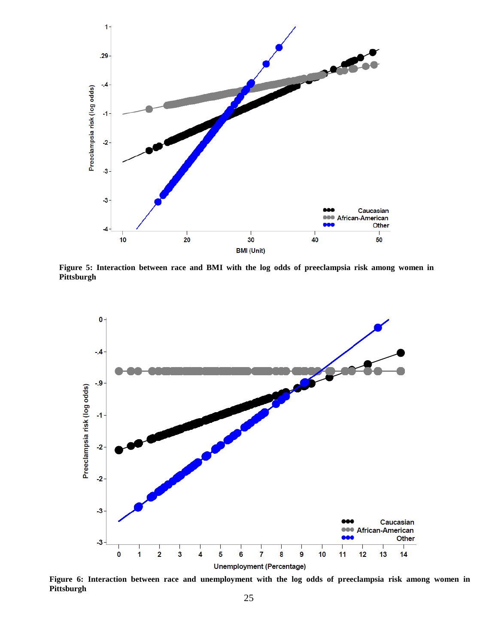

**Figure 5: Interaction between race and BMI with the log odds of preeclampsia risk among women in Pittsburgh**



**Figure 6: Interaction between race and unemployment with the log odds of preeclampsia risk among women in Pittsburgh**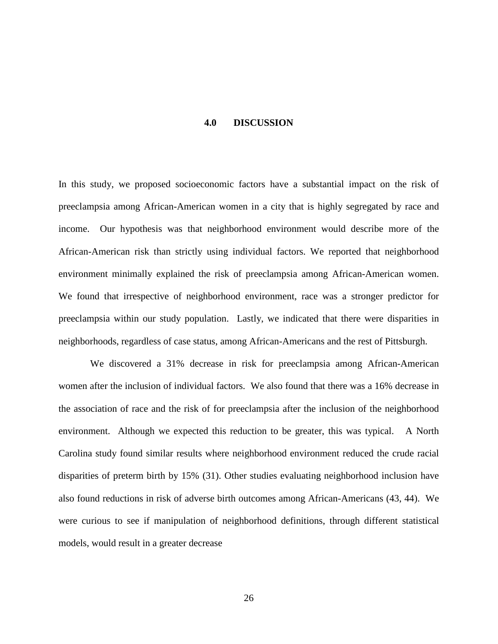#### **4.0 DISCUSSION**

<span id="page-34-0"></span>In this study, we proposed socioeconomic factors have a substantial impact on the risk of preeclampsia among African-American women in a city that is highly segregated by race and income. Our hypothesis was that neighborhood environment would describe more of the African-American risk than strictly using individual factors. We reported that neighborhood environment minimally explained the risk of preeclampsia among African-American women. We found that irrespective of neighborhood environment, race was a stronger predictor for preeclampsia within our study population. Lastly, we indicated that there were disparities in neighborhoods, regardless of case status, among African-Americans and the rest of Pittsburgh.

We discovered a 31% decrease in risk for preeclampsia among African-American women after the inclusion of individual factors. We also found that there was a 16% decrease in the association of race and the risk of for preeclampsia after the inclusion of the neighborhood environment. Although we expected this reduction to be greater, this was typical. A North Carolina study found similar results where neighborhood environment reduced the crude racial disparities of preterm birth by 15% (31). Other studies evaluating neighborhood inclusion have also found reductions in risk of adverse birth outcomes among African-Americans (43, 44). We were curious to see if manipulation of neighborhood definitions, through different statistical models, would result in a greater decrease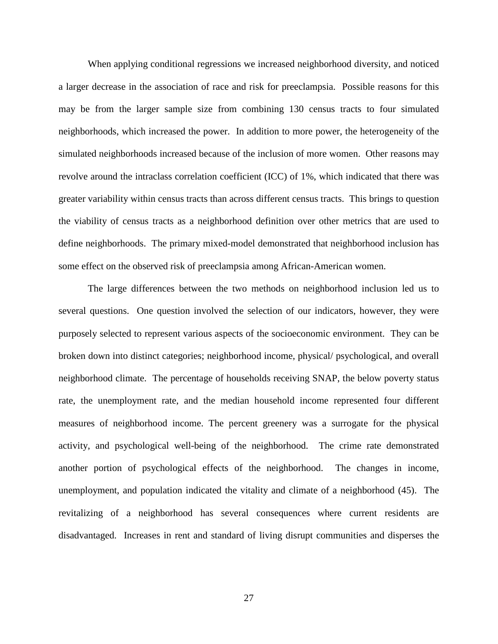When applying conditional regressions we increased neighborhood diversity, and noticed a larger decrease in the association of race and risk for preeclampsia. Possible reasons for this may be from the larger sample size from combining 130 census tracts to four simulated neighborhoods, which increased the power. In addition to more power, the heterogeneity of the simulated neighborhoods increased because of the inclusion of more women. Other reasons may revolve around the intraclass correlation coefficient (ICC) of 1%, which indicated that there was greater variability within census tracts than across different census tracts. This brings to question the viability of census tracts as a neighborhood definition over other metrics that are used to define neighborhoods. The primary mixed-model demonstrated that neighborhood inclusion has some effect on the observed risk of preeclampsia among African-American women.

The large differences between the two methods on neighborhood inclusion led us to several questions. One question involved the selection of our indicators, however, they were purposely selected to represent various aspects of the socioeconomic environment. They can be broken down into distinct categories; neighborhood income, physical/ psychological, and overall neighborhood climate. The percentage of households receiving SNAP, the below poverty status rate, the unemployment rate, and the median household income represented four different measures of neighborhood income. The percent greenery was a surrogate for the physical activity, and psychological well-being of the neighborhood. The crime rate demonstrated another portion of psychological effects of the neighborhood. The changes in income, unemployment, and population indicated the vitality and climate of a neighborhood (45). The revitalizing of a neighborhood has several consequences where current residents are disadvantaged. Increases in rent and standard of living disrupt communities and disperses the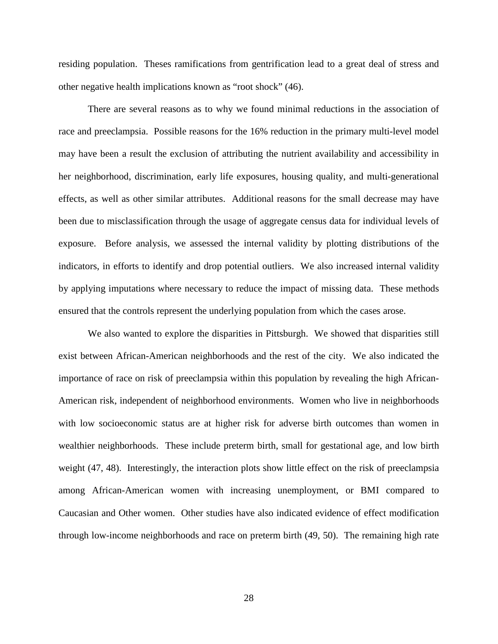residing population. Theses ramifications from gentrification lead to a great deal of stress and other negative health implications known as "root shock" (46).

There are several reasons as to why we found minimal reductions in the association of race and preeclampsia. Possible reasons for the 16% reduction in the primary multi-level model may have been a result the exclusion of attributing the nutrient availability and accessibility in her neighborhood, discrimination, early life exposures, housing quality, and multi-generational effects, as well as other similar attributes. Additional reasons for the small decrease may have been due to misclassification through the usage of aggregate census data for individual levels of exposure. Before analysis, we assessed the internal validity by plotting distributions of the indicators, in efforts to identify and drop potential outliers. We also increased internal validity by applying imputations where necessary to reduce the impact of missing data. These methods ensured that the controls represent the underlying population from which the cases arose.

We also wanted to explore the disparities in Pittsburgh. We showed that disparities still exist between African-American neighborhoods and the rest of the city. We also indicated the importance of race on risk of preeclampsia within this population by revealing the high African-American risk, independent of neighborhood environments. Women who live in neighborhoods with low socioeconomic status are at higher risk for adverse birth outcomes than women in wealthier neighborhoods. These include preterm birth, small for gestational age, and low birth weight (47, 48). Interestingly, the interaction plots show little effect on the risk of preeclampsia among African-American women with increasing unemployment, or BMI compared to Caucasian and Other women. Other studies have also indicated evidence of effect modification through low-income neighborhoods and race on preterm birth (49, 50). The remaining high rate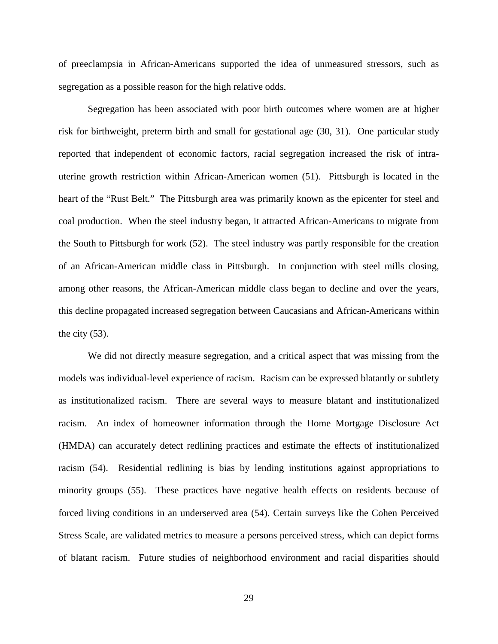of preeclampsia in African-Americans supported the idea of unmeasured stressors, such as segregation as a possible reason for the high relative odds.

Segregation has been associated with poor birth outcomes where women are at higher risk for birthweight, preterm birth and small for gestational age (30, 31). One particular study reported that independent of economic factors, racial segregation increased the risk of intrauterine growth restriction within African-American women (51). Pittsburgh is located in the heart of the "Rust Belt." The Pittsburgh area was primarily known as the epicenter for steel and coal production. When the steel industry began, it attracted African-Americans to migrate from the South to Pittsburgh for work (52). The steel industry was partly responsible for the creation of an African-American middle class in Pittsburgh. In conjunction with steel mills closing, among other reasons, the African-American middle class began to decline and over the years, this decline propagated increased segregation between Caucasians and African-Americans within the city  $(53)$ .

We did not directly measure segregation, and a critical aspect that was missing from the models was individual-level experience of racism. Racism can be expressed blatantly or subtlety as institutionalized racism. There are several ways to measure blatant and institutionalized racism. An index of homeowner information through the Home Mortgage Disclosure Act (HMDA) can accurately detect redlining practices and estimate the effects of institutionalized racism (54). Residential redlining is bias by lending institutions against appropriations to minority groups (55). These practices have negative health effects on residents because of forced living conditions in an underserved area (54). Certain surveys like the Cohen Perceived Stress Scale, are validated metrics to measure a persons perceived stress, which can depict forms of blatant racism. Future studies of neighborhood environment and racial disparities should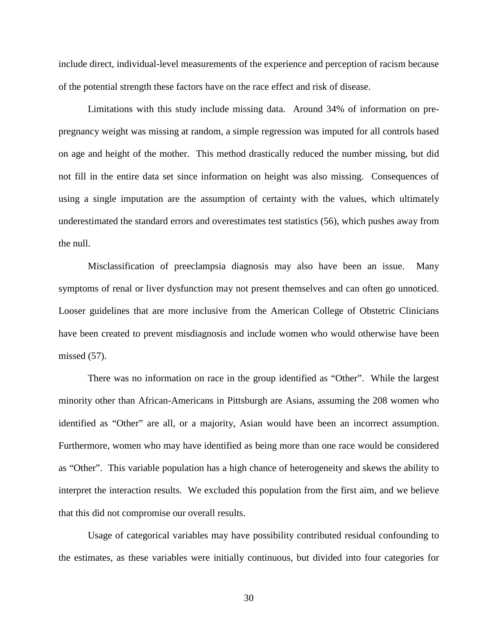include direct, individual-level measurements of the experience and perception of racism because of the potential strength these factors have on the race effect and risk of disease.

Limitations with this study include missing data. Around 34% of information on prepregnancy weight was missing at random, a simple regression was imputed for all controls based on age and height of the mother. This method drastically reduced the number missing, but did not fill in the entire data set since information on height was also missing. Consequences of using a single imputation are the assumption of certainty with the values, which ultimately underestimated the standard errors and overestimates test statistics (56), which pushes away from the null.

Misclassification of preeclampsia diagnosis may also have been an issue. Many symptoms of renal or liver dysfunction may not present themselves and can often go unnoticed. Looser guidelines that are more inclusive from the American College of Obstetric Clinicians have been created to prevent misdiagnosis and include women who would otherwise have been missed (57).

There was no information on race in the group identified as "Other". While the largest minority other than African-Americans in Pittsburgh are Asians, assuming the 208 women who identified as "Other" are all, or a majority, Asian would have been an incorrect assumption. Furthermore, women who may have identified as being more than one race would be considered as "Other". This variable population has a high chance of heterogeneity and skews the ability to interpret the interaction results. We excluded this population from the first aim, and we believe that this did not compromise our overall results.

Usage of categorical variables may have possibility contributed residual confounding to the estimates, as these variables were initially continuous, but divided into four categories for

30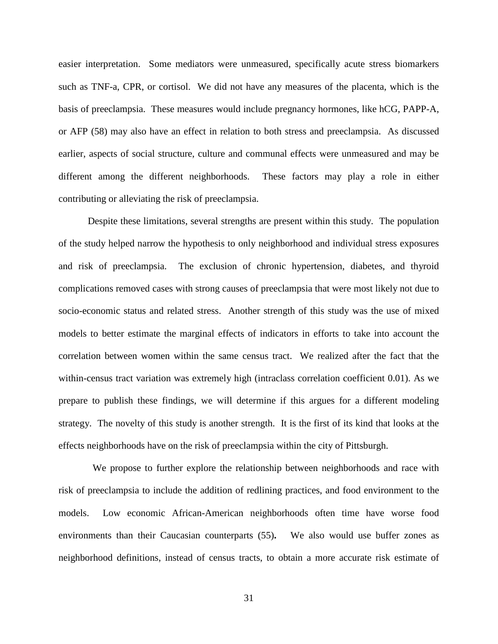easier interpretation. Some mediators were unmeasured, specifically acute stress biomarkers such as TNF-a, CPR, or cortisol. We did not have any measures of the placenta, which is the basis of preeclampsia. These measures would include pregnancy hormones, like hCG, PAPP-A, or AFP (58) may also have an effect in relation to both stress and preeclampsia. As discussed earlier, aspects of social structure, culture and communal effects were unmeasured and may be different among the different neighborhoods. These factors may play a role in either contributing or alleviating the risk of preeclampsia.

Despite these limitations, several strengths are present within this study. The population of the study helped narrow the hypothesis to only neighborhood and individual stress exposures and risk of preeclampsia. The exclusion of chronic hypertension, diabetes, and thyroid complications removed cases with strong causes of preeclampsia that were most likely not due to socio-economic status and related stress. Another strength of this study was the use of mixed models to better estimate the marginal effects of indicators in efforts to take into account the correlation between women within the same census tract. We realized after the fact that the within-census tract variation was extremely high (intraclass correlation coefficient 0.01). As we prepare to publish these findings, we will determine if this argues for a different modeling strategy. The novelty of this study is another strength. It is the first of its kind that looks at the effects neighborhoods have on the risk of preeclampsia within the city of Pittsburgh.

 We propose to further explore the relationship between neighborhoods and race with risk of preeclampsia to include the addition of redlining practices, and food environment to the models. Low economic African-American neighborhoods often time have worse food environments than their Caucasian counterparts (55)**.** We also would use buffer zones as neighborhood definitions, instead of census tracts, to obtain a more accurate risk estimate of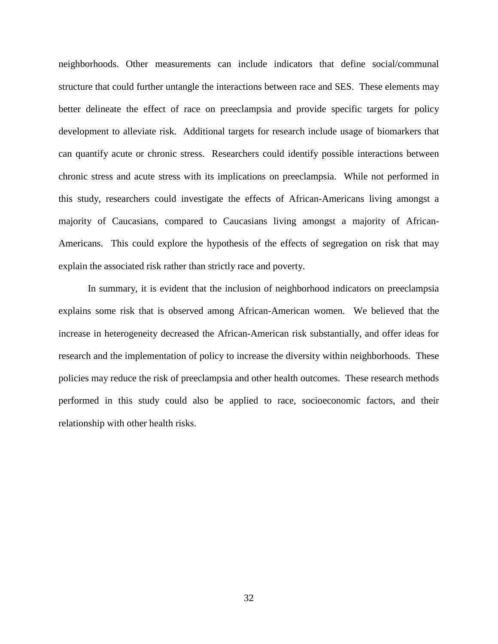neighborhoods. Other measurements can include indicators that define social/communal structure that could further untangle the interactions between race and SES. These elements may better delineate the effect of race on preeclampsia and provide specific targets for policy development to alleviate risk. Additional targets for research include usage of biomarkers that can quantify acute or chronic stress. Researchers could identify possible interactions between chronic stress and acute stress with its implications on preeclampsia. While not performed in this study, researchers could investigate the effects of African-Americans living amongst a majority of Caucasians, compared to Caucasians living amongst a majority of African-Americans. This could explore the hypothesis of the effects of segregation on risk that may explain the associated risk rather than strictly race and poverty.

In summary, it is evident that the inclusion of neighborhood indicators on preeclampsia explains some risk that is observed among African-American women. We believed that the increase in heterogeneity decreased the African-American risk substantially, and offer ideas for research and the implementation of policy to increase the diversity within neighborhoods. These policies may reduce the risk of preeclampsia and other health outcomes. These research methods performed in this study could also be applied to race, socioeconomic factors, and their relationship with other health risks.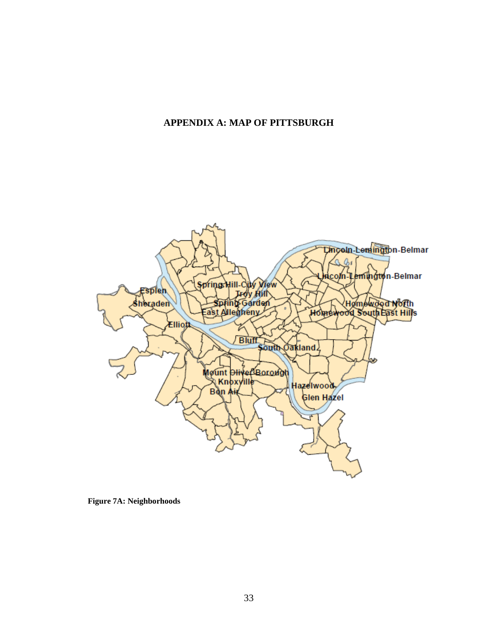## <span id="page-41-0"></span>**APPENDIX A: MAP OF PITTSBURGH**



<span id="page-41-1"></span>**Figure 7A: Neighborhoods**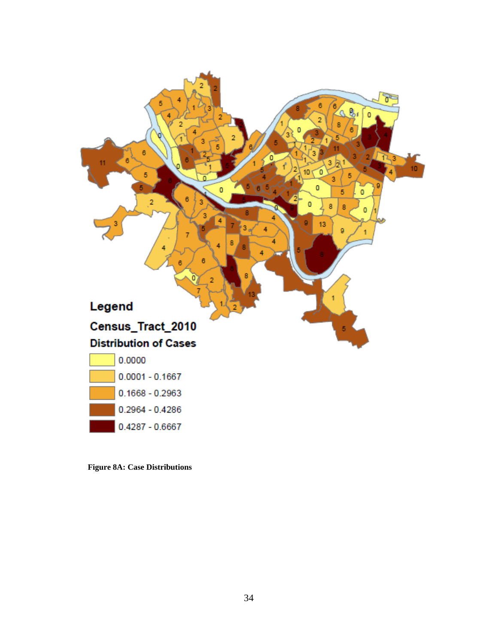

<span id="page-42-0"></span>**Figure 8A: Case Distributions**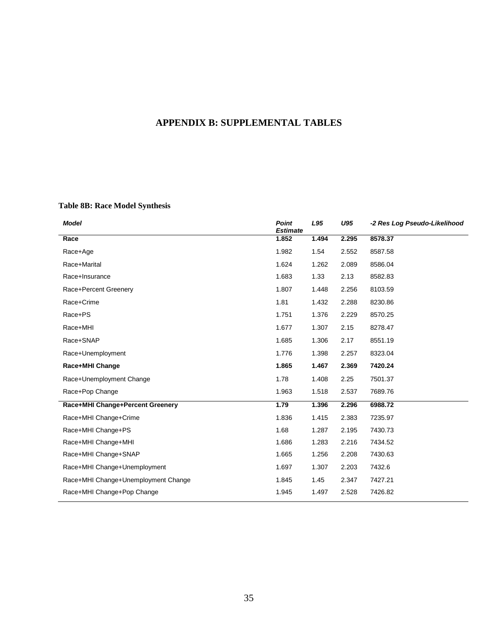# <span id="page-43-0"></span>**APPENDIX B: SUPPLEMENTAL TABLES**

## <span id="page-43-1"></span>**Table 8B: Race Model Synthesis**

| <b>Model</b>                        | <b>Point</b><br><b>Estimate</b> | L95   | U95   | -2 Res Log Pseudo-Likelihood |
|-------------------------------------|---------------------------------|-------|-------|------------------------------|
| Race                                | 1.852                           | 1.494 | 2.295 | 8578.37                      |
| Race+Age                            | 1.982                           | 1.54  | 2.552 | 8587.58                      |
| Race+Marital                        | 1.624                           | 1.262 | 2.089 | 8586.04                      |
| Race+Insurance                      | 1.683                           | 1.33  | 2.13  | 8582.83                      |
| Race+Percent Greenery               | 1.807                           | 1.448 | 2.256 | 8103.59                      |
| Race+Crime                          | 1.81                            | 1.432 | 2.288 | 8230.86                      |
| Race+PS                             | 1.751                           | 1.376 | 2.229 | 8570.25                      |
| Race+MHI                            | 1.677                           | 1.307 | 2.15  | 8278.47                      |
| Race+SNAP                           | 1.685                           | 1.306 | 2.17  | 8551.19                      |
| Race+Unemployment                   | 1.776                           | 1.398 | 2.257 | 8323.04                      |
| Race+MHI Change                     | 1.865                           | 1.467 | 2.369 | 7420.24                      |
| Race+Unemployment Change            | 1.78                            | 1.408 | 2.25  | 7501.37                      |
| Race+Pop Change                     | 1.963                           | 1.518 | 2.537 | 7689.76                      |
| Race+MHI Change+Percent Greenery    | 1.79                            | 1.396 | 2.296 | 6988.72                      |
| Race+MHI Change+Crime               | 1.836                           | 1.415 | 2.383 | 7235.97                      |
| Race+MHI Change+PS                  | 1.68                            | 1.287 | 2.195 | 7430.73                      |
| Race+MHI Change+MHI                 | 1.686                           | 1.283 | 2.216 | 7434.52                      |
| Race+MHI Change+SNAP                | 1.665                           | 1.256 | 2.208 | 7430.63                      |
| Race+MHI Change+Unemployment        | 1.697                           | 1.307 | 2.203 | 7432.6                       |
| Race+MHI Change+Unemployment Change | 1.845                           | 1.45  | 2.347 | 7427.21                      |
| Race+MHI Change+Pop Change          | 1.945                           | 1.497 | 2.528 | 7426.82                      |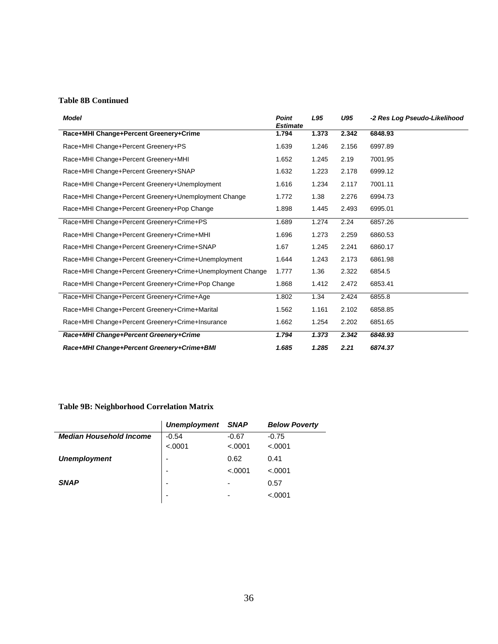#### **Table 8B Continued**

| <b>Model</b>                                               | Point<br><b>Estimate</b> | L95   | U95   | -2 Res Log Pseudo-Likelihood |
|------------------------------------------------------------|--------------------------|-------|-------|------------------------------|
| Race+MHI Change+Percent Greenery+Crime                     | 1.794                    | 1.373 | 2.342 | 6848.93                      |
| Race+MHI Change+Percent Greenery+PS                        | 1.639                    | 1.246 | 2.156 | 6997.89                      |
| Race+MHI Change+Percent Greenery+MHI                       | 1.652                    | 1.245 | 2.19  | 7001.95                      |
| Race+MHI Change+Percent Greenery+SNAP                      | 1.632                    | 1.223 | 2.178 | 6999.12                      |
| Race+MHI Change+Percent Greenery+Unemployment              | 1.616                    | 1.234 | 2.117 | 7001.11                      |
| Race+MHI Change+Percent Greenery+Unemployment Change       | 1.772                    | 1.38  | 2.276 | 6994.73                      |
| Race+MHI Change+Percent Greenery+Pop Change                | 1.898                    | 1.445 | 2.493 | 6995.01                      |
| Race+MHI Change+Percent Greenery+Crime+PS                  | 1.689                    | 1.274 | 2.24  | 6857.26                      |
| Race+MHI Change+Percent Greenery+Crime+MHI                 | 1.696                    | 1.273 | 2.259 | 6860.53                      |
| Race+MHI Change+Percent Greenery+Crime+SNAP                | 1.67                     | 1.245 | 2.241 | 6860.17                      |
| Race+MHI Change+Percent Greenery+Crime+Unemployment        | 1.644                    | 1.243 | 2.173 | 6861.98                      |
| Race+MHI Change+Percent Greenery+Crime+Unemployment Change | 1.777                    | 1.36  | 2.322 | 6854.5                       |
| Race+MHI Change+Percent Greenery+Crime+Pop Change          | 1.868                    | 1.412 | 2.472 | 6853.41                      |
| Race+MHI Change+Percent Greenery+Crime+Age                 | 1.802                    | 1.34  | 2.424 | 6855.8                       |
| Race+MHI Change+Percent Greenery+Crime+Marital             | 1.562                    | 1.161 | 2.102 | 6858.85                      |
| Race+MHI Change+Percent Greenery+Crime+Insurance           | 1.662                    | 1.254 | 2.202 | 6851.65                      |
| Race+MHI Change+Percent Greenery+Crime                     | 1.794                    | 1.373 | 2.342 | 6848.93                      |
| Race+MHI Change+Percent Greenery+Crime+BMI                 | 1.685                    | 1.285 | 2.21  | 6874.37                      |

#### <span id="page-44-0"></span>**Table 9B: Neighborhood Correlation Matrix**

| <b>Unemployment</b>      | <b>SNAP</b> | <b>Below Poverty</b> |
|--------------------------|-------------|----------------------|
| $-0.54$                  | $-0.67$     | $-0.75$              |
| < .0001                  | < .0001     | < .0001              |
|                          | 0.62        | 0.41                 |
| $\overline{\phantom{0}}$ | < .0001     | < .0001              |
| -                        | -           | 0.57                 |
| -                        | -           | < .0001              |
|                          |             |                      |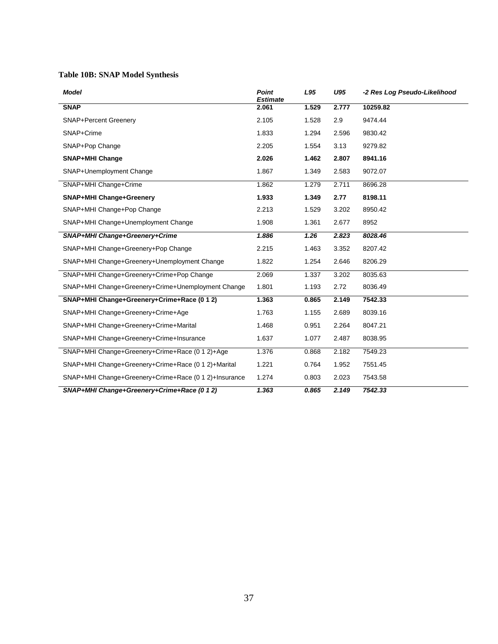## <span id="page-45-0"></span>**Table 10B: SNAP Model Synthesis**

| <b>Model</b>                                          | Point<br><b>Estimate</b> | L95   | U95   | -2 Res Log Pseudo-Likelihood |
|-------------------------------------------------------|--------------------------|-------|-------|------------------------------|
| <b>SNAP</b>                                           | 2.061                    | 1.529 | 2.777 | 10259.82                     |
| <b>SNAP+Percent Greenery</b>                          | 2.105                    | 1.528 | 2.9   | 9474.44                      |
| SNAP+Crime                                            | 1.833                    | 1.294 | 2.596 | 9830.42                      |
| SNAP+Pop Change                                       | 2.205                    | 1.554 | 3.13  | 9279.82                      |
| <b>SNAP+MHI Change</b>                                | 2.026                    | 1.462 | 2.807 | 8941.16                      |
| SNAP+Unemployment Change                              | 1.867                    | 1.349 | 2.583 | 9072.07                      |
| SNAP+MHI Change+Crime                                 | 1.862                    | 1.279 | 2.711 | 8696.28                      |
| <b>SNAP+MHI Change+Greenery</b>                       | 1.933                    | 1.349 | 2.77  | 8198.11                      |
| SNAP+MHI Change+Pop Change                            | 2.213                    | 1.529 | 3.202 | 8950.42                      |
| SNAP+MHI Change+Unemployment Change                   | 1.908                    | 1.361 | 2.677 | 8952                         |
| SNAP+MHI Change+Greenery+Crime                        | 1.886                    | 1.26  | 2.823 | 8028.46                      |
| SNAP+MHI Change+Greenery+Pop Change                   | 2.215                    | 1.463 | 3.352 | 8207.42                      |
| SNAP+MHI Change+Greenery+Unemployment Change          | 1.822                    | 1.254 | 2.646 | 8206.29                      |
| SNAP+MHI Change+Greenery+Crime+Pop Change             | 2.069                    | 1.337 | 3.202 | 8035.63                      |
| SNAP+MHI Change+Greenery+Crime+Unemployment Change    | 1.801                    | 1.193 | 2.72  | 8036.49                      |
| SNAP+MHI Change+Greenery+Crime+Race (0 1 2)           | 1.363                    | 0.865 | 2.149 | 7542.33                      |
| SNAP+MHI Change+Greenery+Crime+Age                    | 1.763                    | 1.155 | 2.689 | 8039.16                      |
| SNAP+MHI Change+Greenery+Crime+Marital                | 1.468                    | 0.951 | 2.264 | 8047.21                      |
| SNAP+MHI Change+Greenery+Crime+Insurance              | 1.637                    | 1.077 | 2.487 | 8038.95                      |
| SNAP+MHI Change+Greenery+Crime+Race (0 1 2)+Age       | 1.376                    | 0.868 | 2.182 | 7549.23                      |
| SNAP+MHI Change+Greenery+Crime+Race (0 1 2)+Marital   | 1.221                    | 0.764 | 1.952 | 7551.45                      |
| SNAP+MHI Change+Greenery+Crime+Race (0 1 2)+Insurance | 1.274                    | 0.803 | 2.023 | 7543.58                      |
| SNAP+MHI Change+Greenery+Crime+Race (0 1 2)           | 1.363                    | 0.865 | 2.149 | 7542.33                      |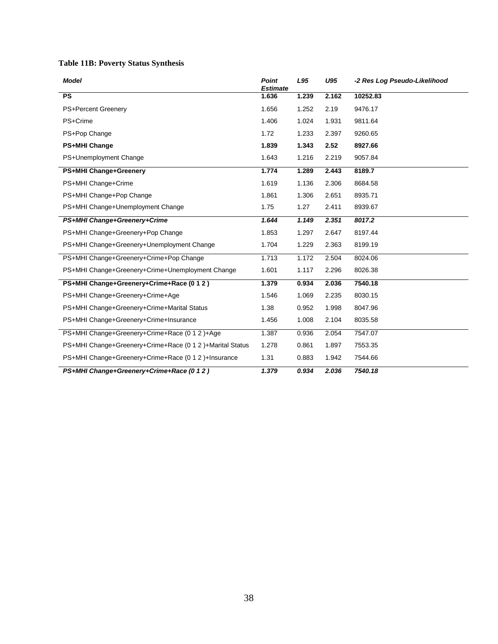## <span id="page-46-0"></span>**Table 11B: Poverty Status Synthesis**

| Model                                                     | <b>Point</b><br><b>Estimate</b> | L95   | U95   | -2 Res Log Pseudo-Likelihood |
|-----------------------------------------------------------|---------------------------------|-------|-------|------------------------------|
| <b>PS</b>                                                 | 1.636                           | 1.239 | 2.162 | 10252.83                     |
| PS+Percent Greenery                                       | 1.656                           | 1.252 | 2.19  | 9476.17                      |
| PS+Crime                                                  | 1.406                           | 1.024 | 1.931 | 9811.64                      |
| PS+Pop Change                                             | 1.72                            | 1.233 | 2.397 | 9260.65                      |
| <b>PS+MHI Change</b>                                      | 1.839                           | 1.343 | 2.52  | 8927.66                      |
| PS+Unemployment Change                                    | 1.643                           | 1.216 | 2.219 | 9057.84                      |
| PS+MHI Change+Greenery                                    | 1.774                           | 1.289 | 2.443 | 8189.7                       |
| PS+MHI Change+Crime                                       | 1.619                           | 1.136 | 2.306 | 8684.58                      |
| PS+MHI Change+Pop Change                                  | 1.861                           | 1.306 | 2.651 | 8935.71                      |
| PS+MHI Change+Unemployment Change                         | 1.75                            | 1.27  | 2.411 | 8939.67                      |
| PS+MHI Change+Greenery+Crime                              | 1.644                           | 1.149 | 2.351 | 8017.2                       |
| PS+MHI Change+Greenery+Pop Change                         | 1.853                           | 1.297 | 2.647 | 8197.44                      |
| PS+MHI Change+Greenery+Unemployment Change                | 1.704                           | 1.229 | 2.363 | 8199.19                      |
| PS+MHI Change+Greenery+Crime+Pop Change                   | 1.713                           | 1.172 | 2.504 | 8024.06                      |
| PS+MHI Change+Greenery+Crime+Unemployment Change          | 1.601                           | 1.117 | 2.296 | 8026.38                      |
| PS+MHI Change+Greenery+Crime+Race (0 1 2)                 | 1.379                           | 0.934 | 2.036 | 7540.18                      |
| PS+MHI Change+Greenery+Crime+Age                          | 1.546                           | 1.069 | 2.235 | 8030.15                      |
| PS+MHI Change+Greenery+Crime+Marital Status               | 1.38                            | 0.952 | 1.998 | 8047.96                      |
| PS+MHI Change+Greenery+Crime+Insurance                    | 1.456                           | 1.008 | 2.104 | 8035.58                      |
| PS+MHI Change+Greenery+Crime+Race (0 1 2 )+Age            | 1.387                           | 0.936 | 2.054 | 7547.07                      |
| PS+MHI Change+Greenery+Crime+Race (0 1 2 )+Marital Status | 1.278                           | 0.861 | 1.897 | 7553.35                      |
| PS+MHI Change+Greenery+Crime+Race (0 1 2 )+Insurance      | 1.31                            | 0.883 | 1.942 | 7544.66                      |
| PS+MHI Change+Greenery+Crime+Race (0 1 2)                 | 1.379                           | 0.934 | 2.036 | 7540.18                      |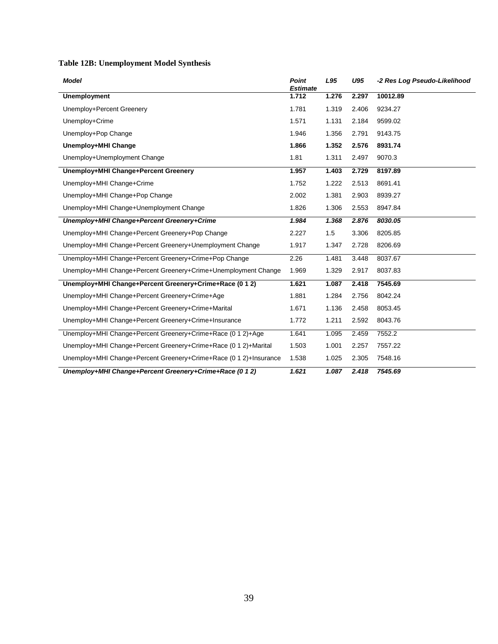## <span id="page-47-0"></span>**Table 12B: Unemployment Model Synthesis**

| <b>Model</b>                                                      | <b>Point</b><br><b>Estimate</b> | L95   | U95   | -2 Res Log Pseudo-Likelihood |
|-------------------------------------------------------------------|---------------------------------|-------|-------|------------------------------|
| <b>Unemployment</b>                                               | 1.712                           | 1.276 | 2.297 | 10012.89                     |
| Unemploy+Percent Greenery                                         | 1.781                           | 1.319 | 2.406 | 9234.27                      |
| Unemploy+Crime                                                    | 1.571                           | 1.131 | 2.184 | 9599.02                      |
| Unemploy+Pop Change                                               | 1.946                           | 1.356 | 2.791 | 9143.75                      |
| Unemploy+MHI Change                                               | 1.866                           | 1.352 | 2.576 | 8931.74                      |
| Unemploy+Unemployment Change                                      | 1.81                            | 1.311 | 2.497 | 9070.3                       |
| Unemploy+MHI Change+Percent Greenery                              | 1.957                           | 1.403 | 2.729 | 8197.89                      |
| Unemploy+MHI Change+Crime                                         | 1.752                           | 1.222 | 2.513 | 8691.41                      |
| Unemploy+MHI Change+Pop Change                                    | 2.002                           | 1.381 | 2.903 | 8939.27                      |
| Unemploy+MHI Change+Unemployment Change                           | 1.826                           | 1.306 | 2.553 | 8947.84                      |
| Unemploy+MHI Change+Percent Greenery+Crime                        | 1.984                           | 1.368 | 2.876 | 8030.05                      |
| Unemploy+MHI Change+Percent Greenery+Pop Change                   | 2.227                           | 1.5   | 3.306 | 8205.85                      |
| Unemploy+MHI Change+Percent Greenery+Unemployment Change          | 1.917                           | 1.347 | 2.728 | 8206.69                      |
| Unemploy+MHI Change+Percent Greenery+Crime+Pop Change             | 2.26                            | 1.481 | 3.448 | 8037.67                      |
| Unemploy+MHI Change+Percent Greenery+Crime+Unemployment Change    | 1.969                           | 1.329 | 2.917 | 8037.83                      |
| Unemploy+MHI Change+Percent Greenery+Crime+Race (0 1 2)           | 1.621                           | 1.087 | 2.418 | 7545.69                      |
| Unemploy+MHI Change+Percent Greenery+Crime+Age                    | 1.881                           | 1.284 | 2.756 | 8042.24                      |
| Unemploy+MHI Change+Percent Greenery+Crime+Marital                | 1.671                           | 1.136 | 2.458 | 8053.45                      |
| Unemploy+MHI Change+Percent Greenery+Crime+Insurance              | 1.772                           | 1.211 | 2.592 | 8043.76                      |
| Unemploy+MHI Change+Percent Greenery+Crime+Race (0 1 2)+Age       | 1.641                           | 1.095 | 2.459 | 7552.2                       |
| Unemploy+MHI Change+Percent Greenery+Crime+Race (0 1 2)+Marital   | 1.503                           | 1.001 | 2.257 | 7557.22                      |
| Unemploy+MHI Change+Percent Greenery+Crime+Race (0 1 2)+Insurance | 1.538                           | 1.025 | 2.305 | 7548.16                      |
| Unemploy+MHI Change+Percent Greenery+Crime+Race (0 1 2)           | 1.621                           | 1.087 | 2.418 | 7545.69                      |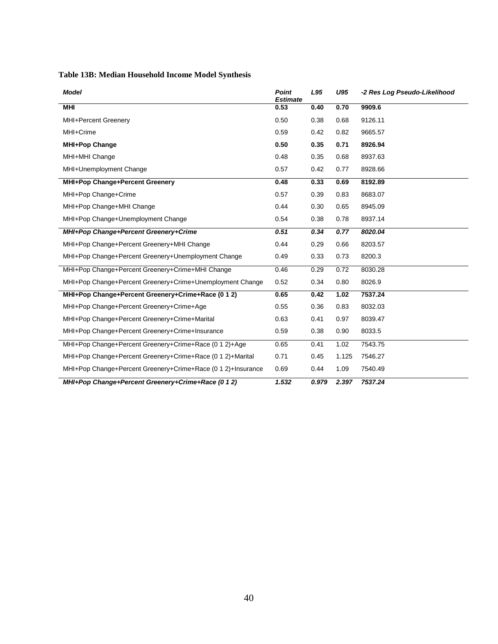## <span id="page-48-0"></span>**Table 13B: Median Household Income Model Synthesis**

| <b>Model</b>                                                 | <b>Point</b><br><b>Estimate</b> | L95   | U95   | -2 Res Log Pseudo-Likelihood |
|--------------------------------------------------------------|---------------------------------|-------|-------|------------------------------|
| <b>MHI</b>                                                   | 0.53                            | 0.40  | 0.70  | 9909.6                       |
| MHI+Percent Greenery                                         | 0.50                            | 0.38  | 0.68  | 9126.11                      |
| MHI+Crime                                                    | 0.59                            | 0.42  | 0.82  | 9665.57                      |
| <b>MHI+Pop Change</b>                                        | 0.50                            | 0.35  | 0.71  | 8926.94                      |
| MHI+MHI Change                                               | 0.48                            | 0.35  | 0.68  | 8937.63                      |
| MHI+Unemployment Change                                      | 0.57                            | 0.42  | 0.77  | 8928.66                      |
| MHI+Pop Change+Percent Greenery                              | 0.48                            | 0.33  | 0.69  | 8192.89                      |
| MHI+Pop Change+Crime                                         | 0.57                            | 0.39  | 0.83  | 8683.07                      |
| MHI+Pop Change+MHI Change                                    | 0.44                            | 0.30  | 0.65  | 8945.09                      |
| MHI+Pop Change+Unemployment Change                           | 0.54                            | 0.38  | 0.78  | 8937.14                      |
| MHI+Pop Change+Percent Greenery+Crime                        | 0.51                            | 0.34  | 0.77  | 8020.04                      |
| MHI+Pop Change+Percent Greenery+MHI Change                   | 0.44                            | 0.29  | 0.66  | 8203.57                      |
| MHI+Pop Change+Percent Greenery+Unemployment Change          | 0.49                            | 0.33  | 0.73  | 8200.3                       |
| MHI+Pop Change+Percent Greenery+Crime+MHI Change             | 0.46                            | 0.29  | 0.72  | 8030.28                      |
| MHI+Pop Change+Percent Greenery+Crime+Unemployment Change    | 0.52                            | 0.34  | 0.80  | 8026.9                       |
| MHI+Pop Change+Percent Greenery+Crime+Race (0 1 2)           | 0.65                            | 0.42  | 1.02  | 7537.24                      |
| MHI+Pop Change+Percent Greenery+Crime+Age                    | 0.55                            | 0.36  | 0.83  | 8032.03                      |
| MHI+Pop Change+Percent Greenery+Crime+Marital                | 0.63                            | 0.41  | 0.97  | 8039.47                      |
| MHI+Pop Change+Percent Greenery+Crime+Insurance              | 0.59                            | 0.38  | 0.90  | 8033.5                       |
| MHI+Pop Change+Percent Greenery+Crime+Race (0 1 2)+Age       | 0.65                            | 0.41  | 1.02  | 7543.75                      |
| MHI+Pop Change+Percent Greenery+Crime+Race (0 1 2)+Marital   | 0.71                            | 0.45  | 1.125 | 7546.27                      |
| MHI+Pop Change+Percent Greenery+Crime+Race (0 1 2)+Insurance | 0.69                            | 0.44  | 1.09  | 7540.49                      |
| MHI+Pop Change+Percent Greenery+Crime+Race (0 1 2)           | 1.532                           | 0.979 | 2.397 | 7537.24                      |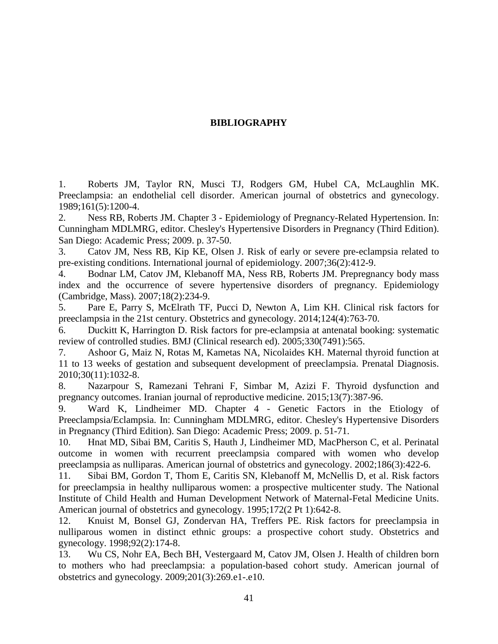## **BIBLIOGRAPHY**

<span id="page-49-0"></span>1. Roberts JM, Taylor RN, Musci TJ, Rodgers GM, Hubel CA, McLaughlin MK. Preeclampsia: an endothelial cell disorder. American journal of obstetrics and gynecology. 1989;161(5):1200-4.

2. Ness RB, Roberts JM. Chapter 3 - Epidemiology of Pregnancy-Related Hypertension. In: Cunningham MDLMRG, editor. Chesley's Hypertensive Disorders in Pregnancy (Third Edition). San Diego: Academic Press; 2009. p. 37-50.

3. Catov JM, Ness RB, Kip KE, Olsen J. Risk of early or severe pre-eclampsia related to pre-existing conditions. International journal of epidemiology. 2007;36(2):412-9.

4. Bodnar LM, Catov JM, Klebanoff MA, Ness RB, Roberts JM. Prepregnancy body mass index and the occurrence of severe hypertensive disorders of pregnancy. Epidemiology (Cambridge, Mass). 2007;18(2):234-9.

5. Pare E, Parry S, McElrath TF, Pucci D, Newton A, Lim KH. Clinical risk factors for preeclampsia in the 21st century. Obstetrics and gynecology. 2014;124(4):763-70.

6. Duckitt K, Harrington D. Risk factors for pre-eclampsia at antenatal booking: systematic review of controlled studies. BMJ (Clinical research ed). 2005;330(7491):565.

7. Ashoor G, Maiz N, Rotas M, Kametas NA, Nicolaides KH. Maternal thyroid function at 11 to 13 weeks of gestation and subsequent development of preeclampsia. Prenatal Diagnosis. 2010;30(11):1032-8.

8. Nazarpour S, Ramezani Tehrani F, Simbar M, Azizi F. Thyroid dysfunction and pregnancy outcomes. Iranian journal of reproductive medicine. 2015;13(7):387-96.

9. Ward K, Lindheimer MD. Chapter 4 - Genetic Factors in the Etiology of Preeclampsia/Eclampsia. In: Cunningham MDLMRG, editor. Chesley's Hypertensive Disorders in Pregnancy (Third Edition). San Diego: Academic Press; 2009. p. 51-71.

10. Hnat MD, Sibai BM, Caritis S, Hauth J, Lindheimer MD, MacPherson C, et al. Perinatal outcome in women with recurrent preeclampsia compared with women who develop preeclampsia as nulliparas. American journal of obstetrics and gynecology. 2002;186(3):422-6.

11. Sibai BM, Gordon T, Thom E, Caritis SN, Klebanoff M, McNellis D, et al. Risk factors for preeclampsia in healthy nulliparous women: a prospective multicenter study. The National Institute of Child Health and Human Development Network of Maternal-Fetal Medicine Units. American journal of obstetrics and gynecology. 1995;172(2 Pt 1):642-8.

12. Knuist M, Bonsel GJ, Zondervan HA, Treffers PE. Risk factors for preeclampsia in nulliparous women in distinct ethnic groups: a prospective cohort study. Obstetrics and gynecology. 1998;92(2):174-8.

13. Wu CS, Nohr EA, Bech BH, Vestergaard M, Catov JM, Olsen J. Health of children born to mothers who had preeclampsia: a population-based cohort study. American journal of obstetrics and gynecology. 2009;201(3):269.e1-.e10.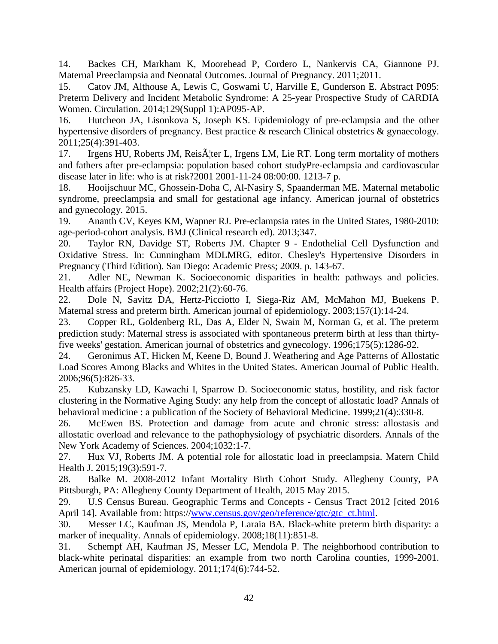14. Backes CH, Markham K, Moorehead P, Cordero L, Nankervis CA, Giannone PJ. Maternal Preeclampsia and Neonatal Outcomes. Journal of Pregnancy. 2011;2011.

15. Catov JM, Althouse A, Lewis C, Goswami U, Harville E, Gunderson E. Abstract P095: Preterm Delivery and Incident Metabolic Syndrome: A 25-year Prospective Study of CARDIA Women. Circulation. 2014;129(Suppl 1):AP095-AP.

16. Hutcheon JA, Lisonkova S, Joseph KS. Epidemiology of pre-eclampsia and the other hypertensive disorders of pregnancy. Best practice & research Clinical obstetrics & gynaecology. 2011;25(4):391-403.

17. Irgens HU, Roberts JM, Reis $\tilde{A}$ ter L, Irgens LM, Lie RT. Long term mortality of mothers and fathers after pre-eclampsia: population based cohort studyPre-eclampsia and cardiovascular disease later in life: who is at risk?2001 2001-11-24 08:00:00. 1213-7 p.

18. Hooijschuur MC, Ghossein-Doha C, Al-Nasiry S, Spaanderman ME. Maternal metabolic syndrome, preeclampsia and small for gestational age infancy. American journal of obstetrics and gynecology. 2015.

19. Ananth CV, Keyes KM, Wapner RJ. Pre-eclampsia rates in the United States, 1980-2010: age-period-cohort analysis. BMJ (Clinical research ed). 2013;347.

20. Taylor RN, Davidge ST, Roberts JM. Chapter 9 - Endothelial Cell Dysfunction and Oxidative Stress. In: Cunningham MDLMRG, editor. Chesley's Hypertensive Disorders in Pregnancy (Third Edition). San Diego: Academic Press; 2009. p. 143-67.

21. Adler NE, Newman K. Socioeconomic disparities in health: pathways and policies. Health affairs (Project Hope). 2002;21(2):60-76.

22. Dole N, Savitz DA, Hertz-Picciotto I, Siega-Riz AM, McMahon MJ, Buekens P. Maternal stress and preterm birth. American journal of epidemiology. 2003;157(1):14-24.

23. Copper RL, Goldenberg RL, Das A, Elder N, Swain M, Norman G, et al. The preterm prediction study: Maternal stress is associated with spontaneous preterm birth at less than thirtyfive weeks' gestation. American journal of obstetrics and gynecology. 1996;175(5):1286-92.

24. Geronimus AT, Hicken M, Keene D, Bound J. Weathering and Age Patterns of Allostatic Load Scores Among Blacks and Whites in the United States. American Journal of Public Health. 2006;96(5):826-33.

25. Kubzansky LD, Kawachi I, Sparrow D. Socioeconomic status, hostility, and risk factor clustering in the Normative Aging Study: any help from the concept of allostatic load? Annals of behavioral medicine : a publication of the Society of Behavioral Medicine. 1999;21(4):330-8.

26. McEwen BS. Protection and damage from acute and chronic stress: allostasis and allostatic overload and relevance to the pathophysiology of psychiatric disorders. Annals of the New York Academy of Sciences. 2004;1032:1-7.

27. Hux VJ, Roberts JM. A potential role for allostatic load in preeclampsia. Matern Child Health J. 2015;19(3):591-7.

28. Balke M. 2008-2012 Infant Mortality Birth Cohort Study. Allegheny County, PA Pittsburgh, PA: Allegheny County Department of Health, 2015 May 2015.

29. U.S Census Bureau. Geographic Terms and Concepts - Census Tract 2012 [cited 2016 April 14]. Available from: https:/[/www.census.gov/geo/reference/gtc/gtc\\_ct.html.](http://www.census.gov/geo/reference/gtc/gtc_ct.html)

30. Messer LC, Kaufman JS, Mendola P, Laraia BA. Black-white preterm birth disparity: a marker of inequality. Annals of epidemiology. 2008;18(11):851-8.

31. Schempf AH, Kaufman JS, Messer LC, Mendola P. The neighborhood contribution to black-white perinatal disparities: an example from two north Carolina counties, 1999-2001. American journal of epidemiology. 2011;174(6):744-52.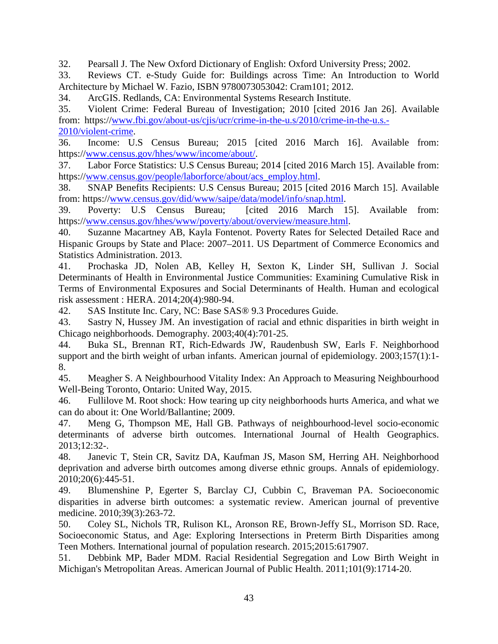32. Pearsall J. The New Oxford Dictionary of English: Oxford University Press; 2002.

33. Reviews CT. e-Study Guide for: Buildings across Time: An Introduction to World Architecture by Michael W. Fazio, ISBN 9780073053042: Cram101; 2012.

34. ArcGIS. Redlands, CA: Environmental Systems Research Institute.

35. Violent Crime: Federal Bureau of Investigation; 2010 [cited 2016 Jan 26]. Available from: https:/[/www.fbi.gov/about-us/cjis/ucr/crime-in-the-u.s/2010/crime-in-the-u.s.-](http://www.fbi.gov/about-us/cjis/ucr/crime-in-the-u.s/2010/crime-in-the-u.s.-2010/violent-crime) [2010/violent-crime.](http://www.fbi.gov/about-us/cjis/ucr/crime-in-the-u.s/2010/crime-in-the-u.s.-2010/violent-crime)

36. Income: U.S Census Bureau; 2015 [cited 2016 March 16]. Available from: https:/[/www.census.gov/hhes/www/income/about/.](http://www.census.gov/hhes/www/income/about/)

37. Labor Force Statistics: U.S Census Bureau; 2014 [cited 2016 March 15]. Available from: https:/[/www.census.gov/people/laborforce/about/acs\\_employ.html.](http://www.census.gov/people/laborforce/about/acs_employ.html)

38. SNAP Benefits Recipients: U.S Census Bureau; 2015 [cited 2016 March 15]. Available from: https:/[/www.census.gov/did/www/saipe/data/model/info/snap.html.](http://www.census.gov/did/www/saipe/data/model/info/snap.html)

39. Poverty: U.S Census Bureau; [cited 2016 March 15]. Available from: https:/[/www.census.gov/hhes/www/poverty/about/overview/measure.html.](http://www.census.gov/hhes/www/poverty/about/overview/measure.html)

40. Suzanne Macartney AB, Kayla Fontenot. Poverty Rates for Selected Detailed Race and Hispanic Groups by State and Place: 2007–2011. US Department of Commerce Economics and Statistics Administration. 2013.

41. Prochaska JD, Nolen AB, Kelley H, Sexton K, Linder SH, Sullivan J. Social Determinants of Health in Environmental Justice Communities: Examining Cumulative Risk in Terms of Environmental Exposures and Social Determinants of Health. Human and ecological risk assessment : HERA. 2014;20(4):980-94.

42. SAS Institute Inc. Cary, NC: Base SAS® 9.3 Procedures Guide.

43. Sastry N, Hussey JM. An investigation of racial and ethnic disparities in birth weight in Chicago neighborhoods. Demography. 2003;40(4):701-25.

44. Buka SL, Brennan RT, Rich-Edwards JW, Raudenbush SW, Earls F. Neighborhood support and the birth weight of urban infants. American journal of epidemiology. 2003;157(1):1- 8.

45. Meagher S. A Neighbourhood Vitality Index: An Approach to Measuring Neighbourhood Well-Being Toronto, Ontario: United Way, 2015.

46. Fullilove M. Root shock: How tearing up city neighborhoods hurts America, and what we can do about it: One World/Ballantine; 2009.

47. Meng G, Thompson ME, Hall GB. Pathways of neighbourhood-level socio-economic determinants of adverse birth outcomes. International Journal of Health Geographics. 2013;12:32-.

48. Janevic T, Stein CR, Savitz DA, Kaufman JS, Mason SM, Herring AH. Neighborhood deprivation and adverse birth outcomes among diverse ethnic groups. Annals of epidemiology. 2010;20(6):445-51.

49. Blumenshine P, Egerter S, Barclay CJ, Cubbin C, Braveman PA. Socioeconomic disparities in adverse birth outcomes: a systematic review. American journal of preventive medicine. 2010;39(3):263-72.

50. Coley SL, Nichols TR, Rulison KL, Aronson RE, Brown-Jeffy SL, Morrison SD. Race, Socioeconomic Status, and Age: Exploring Intersections in Preterm Birth Disparities among Teen Mothers. International journal of population research. 2015;2015:617907.

51. Debbink MP, Bader MDM. Racial Residential Segregation and Low Birth Weight in Michigan's Metropolitan Areas. American Journal of Public Health. 2011;101(9):1714-20.